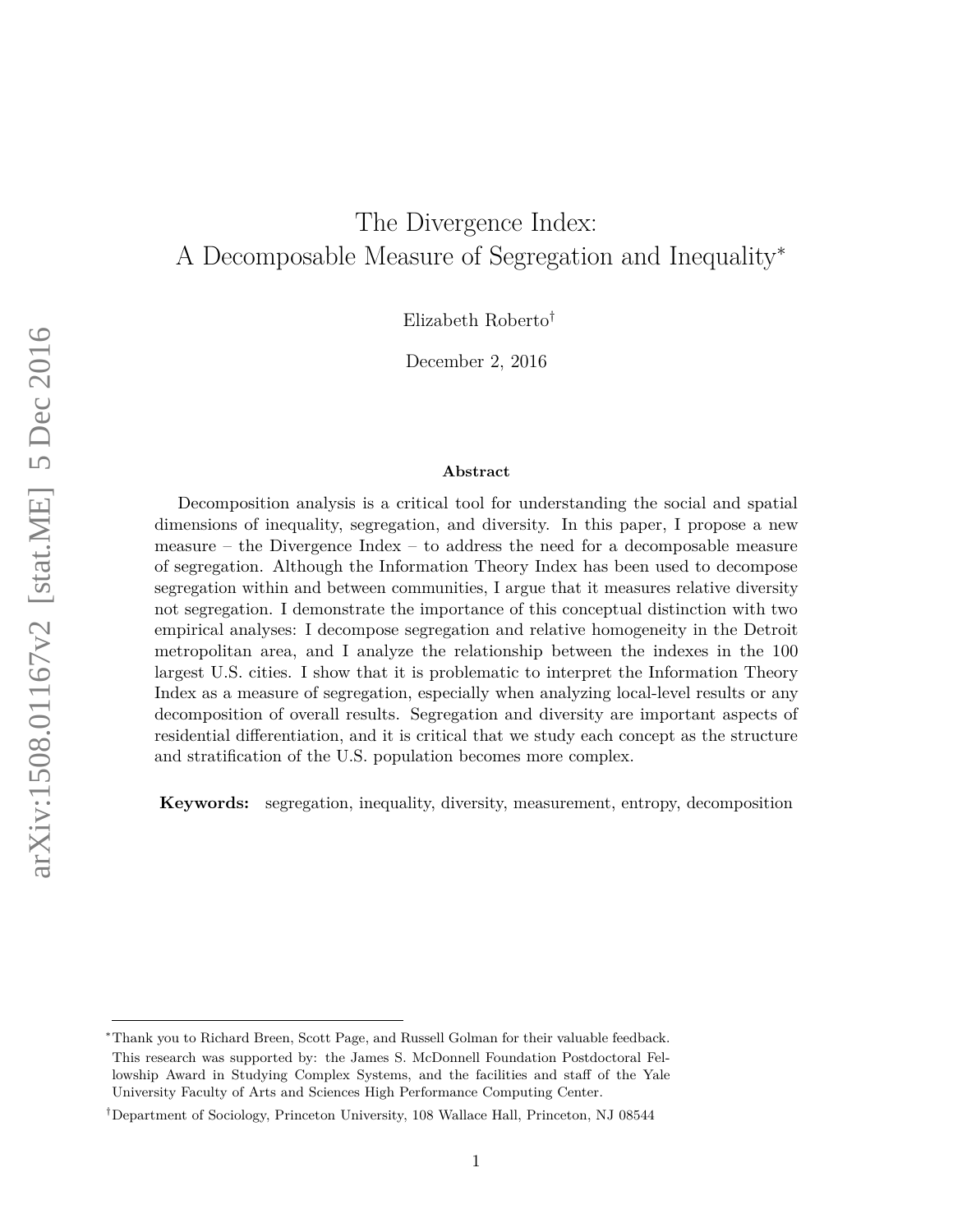# The Divergence Index: A Decomposable Measure of Segregation and Inequality<sup>∗</sup>

Elizabeth Roberto†

December 2, 2016

#### **Abstract**

Decomposition analysis is a critical tool for understanding the social and spatial dimensions of inequality, segregation, and diversity. In this paper, I propose a new measure – the Divergence Index – to address the need for a decomposable measure of segregation. Although the Information Theory Index has been used to decompose segregation within and between communities, I argue that it measures relative diversity not segregation. I demonstrate the importance of this conceptual distinction with two empirical analyses: I decompose segregation and relative homogeneity in the Detroit metropolitan area, and I analyze the relationship between the indexes in the 100 largest U.S. cities. I show that it is problematic to interpret the Information Theory Index as a measure of segregation, especially when analyzing local-level results or any decomposition of overall results. Segregation and diversity are important aspects of residential differentiation, and it is critical that we study each concept as the structure and stratification of the U.S. population becomes more complex.

**Keywords:** segregation, inequality, diversity, measurement, entropy, decomposition

<sup>∗</sup>Thank you to Richard Breen, Scott Page, and Russell Golman for their valuable feedback. This research was supported by: the James S. McDonnell Foundation Postdoctoral Fellowship Award in Studying Complex Systems, and the facilities and staff of the Yale University Faculty of Arts and Sciences High Performance Computing Center.

<sup>†</sup>Department of Sociology, Princeton University, 108 Wallace Hall, Princeton, NJ 08544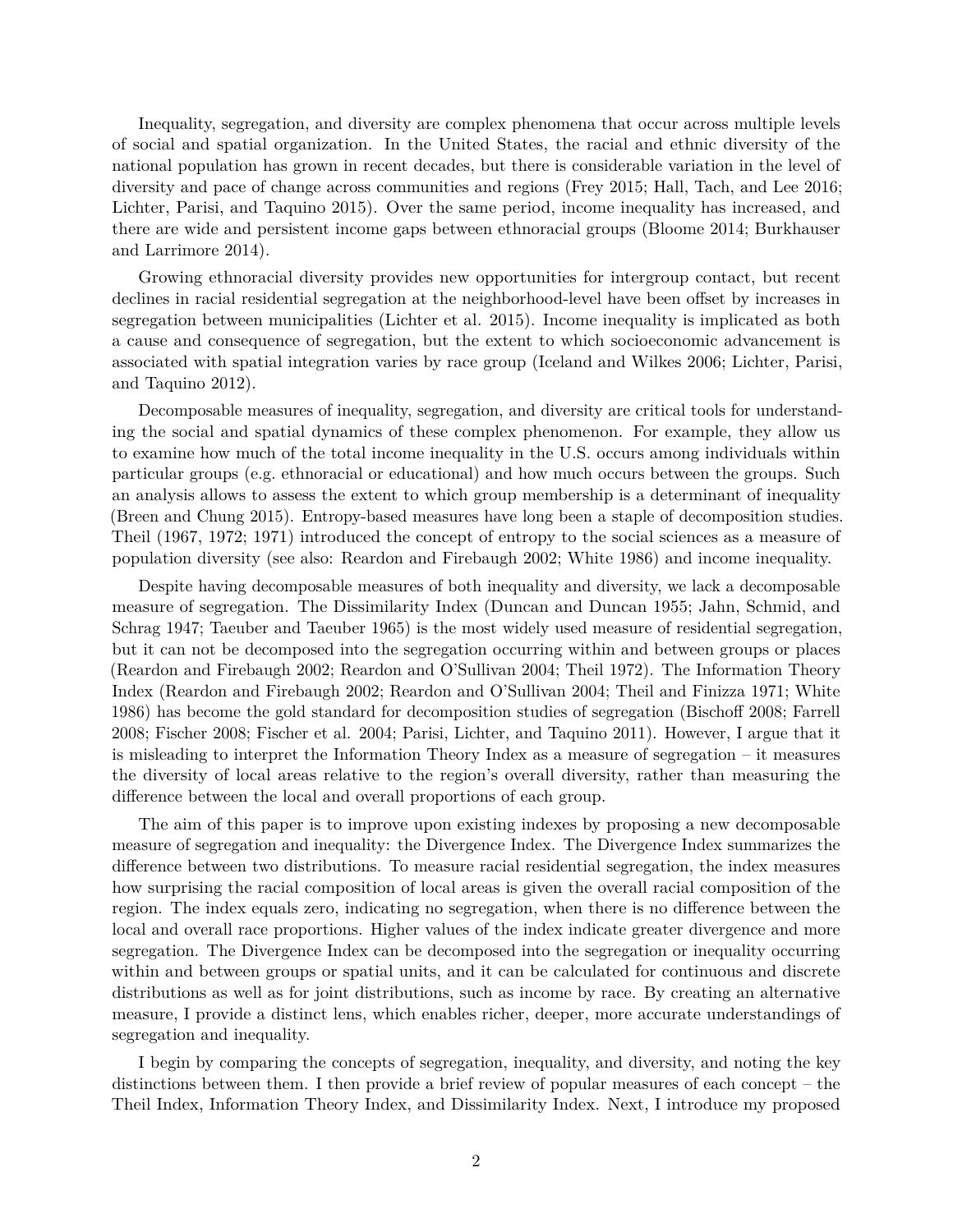Inequality, segregation, and diversity are complex phenomena that occur across multiple levels of social and spatial organization. In the United States, the racial and ethnic diversity of the national population has grown in recent decades, but there is considerable variation in the level of diversity and pace of change across communities and regions (Frey 2015; Hall, Tach, and Lee 2016; Lichter, Parisi, and Taquino 2015). Over the same period, income inequality has increased, and there are wide and persistent income gaps between ethnoracial groups (Bloome 2014; Burkhauser and Larrimore 2014).

Growing ethnoracial diversity provides new opportunities for intergroup contact, but recent declines in racial residential segregation at the neighborhood-level have been offset by increases in segregation between municipalities (Lichter et al. 2015). Income inequality is implicated as both a cause and consequence of segregation, but the extent to which socioeconomic advancement is associated with spatial integration varies by race group (Iceland and Wilkes 2006; Lichter, Parisi, and Taquino 2012).

Decomposable measures of inequality, segregation, and diversity are critical tools for understanding the social and spatial dynamics of these complex phenomenon. For example, they allow us to examine how much of the total income inequality in the U.S. occurs among individuals within particular groups (e.g. ethnoracial or educational) and how much occurs between the groups. Such an analysis allows to assess the extent to which group membership is a determinant of inequality (Breen and Chung 2015). Entropy-based measures have long been a staple of decomposition studies. Theil (1967, 1972; 1971) introduced the concept of entropy to the social sciences as a measure of population diversity (see also: Reardon and Firebaugh 2002; White 1986) and income inequality.

Despite having decomposable measures of both inequality and diversity, we lack a decomposable measure of segregation. The Dissimilarity Index (Duncan and Duncan 1955; Jahn, Schmid, and Schrag 1947; Taeuber and Taeuber 1965) is the most widely used measure of residential segregation, but it can not be decomposed into the segregation occurring within and between groups or places (Reardon and Firebaugh 2002; Reardon and O'Sullivan 2004; Theil 1972). The Information Theory Index (Reardon and Firebaugh 2002; Reardon and O'Sullivan 2004; Theil and Finizza 1971; White 1986) has become the gold standard for decomposition studies of segregation (Bischoff 2008; Farrell 2008; Fischer 2008; Fischer et al. 2004; Parisi, Lichter, and Taquino 2011). However, I argue that it is misleading to interpret the Information Theory Index as a measure of segregation – it measures the diversity of local areas relative to the region's overall diversity, rather than measuring the difference between the local and overall proportions of each group.

The aim of this paper is to improve upon existing indexes by proposing a new decomposable measure of segregation and inequality: the Divergence Index. The Divergence Index summarizes the difference between two distributions. To measure racial residential segregation, the index measures how surprising the racial composition of local areas is given the overall racial composition of the region. The index equals zero, indicating no segregation, when there is no difference between the local and overall race proportions. Higher values of the index indicate greater divergence and more segregation. The Divergence Index can be decomposed into the segregation or inequality occurring within and between groups or spatial units, and it can be calculated for continuous and discrete distributions as well as for joint distributions, such as income by race. By creating an alternative measure, I provide a distinct lens, which enables richer, deeper, more accurate understandings of segregation and inequality.

I begin by comparing the concepts of segregation, inequality, and diversity, and noting the key distinctions between them. I then provide a brief review of popular measures of each concept – the Theil Index, Information Theory Index, and Dissimilarity Index. Next, I introduce my proposed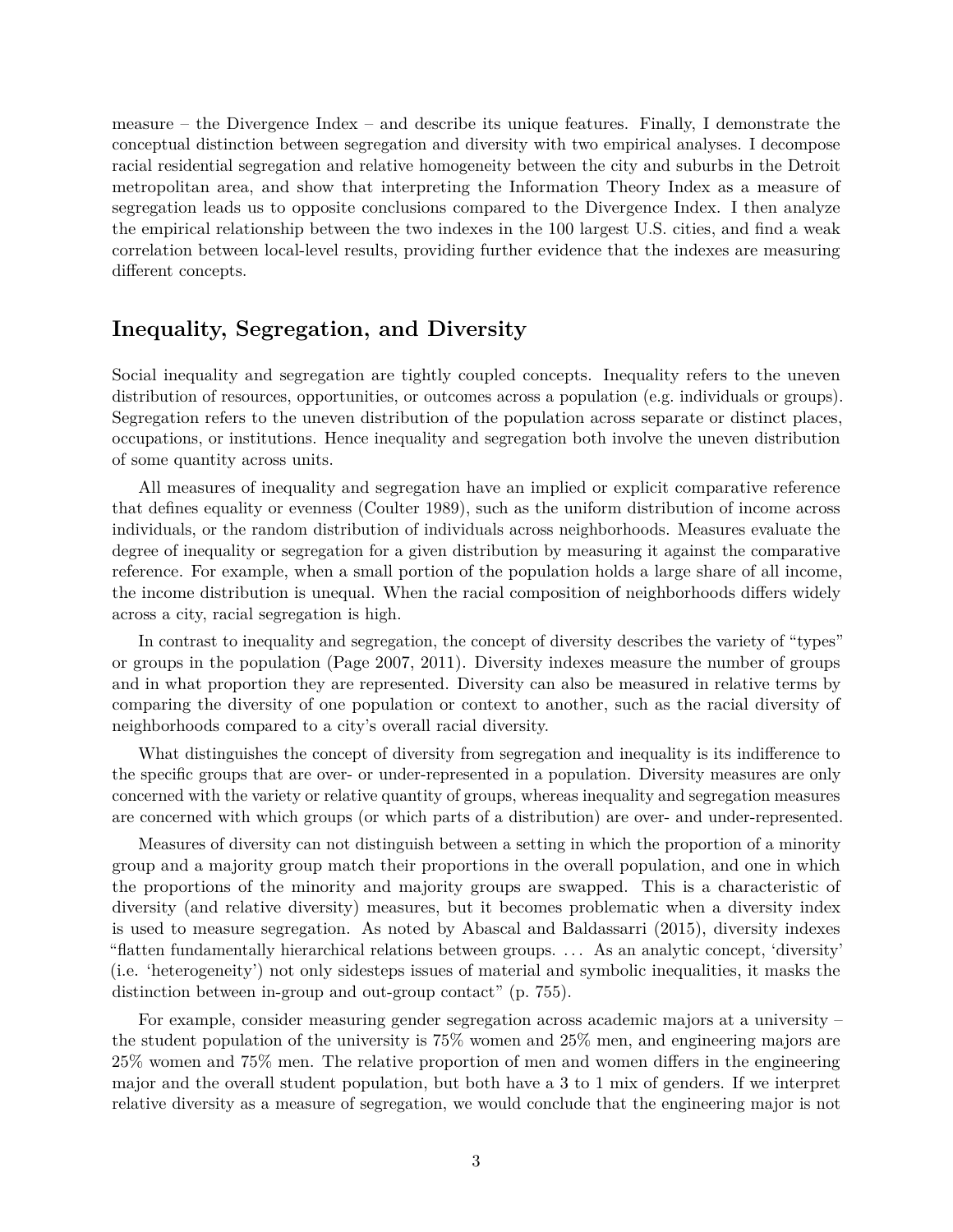measure – the Divergence Index – and describe its unique features. Finally, I demonstrate the conceptual distinction between segregation and diversity with two empirical analyses. I decompose racial residential segregation and relative homogeneity between the city and suburbs in the Detroit metropolitan area, and show that interpreting the Information Theory Index as a measure of segregation leads us to opposite conclusions compared to the Divergence Index. I then analyze the empirical relationship between the two indexes in the 100 largest U.S. cities, and find a weak correlation between local-level results, providing further evidence that the indexes are measuring different concepts.

## **Inequality, Segregation, and Diversity**

Social inequality and segregation are tightly coupled concepts. Inequality refers to the uneven distribution of resources, opportunities, or outcomes across a population (e.g. individuals or groups). Segregation refers to the uneven distribution of the population across separate or distinct places, occupations, or institutions. Hence inequality and segregation both involve the uneven distribution of some quantity across units.

All measures of inequality and segregation have an implied or explicit comparative reference that defines equality or evenness (Coulter 1989), such as the uniform distribution of income across individuals, or the random distribution of individuals across neighborhoods. Measures evaluate the degree of inequality or segregation for a given distribution by measuring it against the comparative reference. For example, when a small portion of the population holds a large share of all income, the income distribution is unequal. When the racial composition of neighborhoods differs widely across a city, racial segregation is high.

In contrast to inequality and segregation, the concept of diversity describes the variety of "types" or groups in the population (Page 2007, 2011). Diversity indexes measure the number of groups and in what proportion they are represented. Diversity can also be measured in relative terms by comparing the diversity of one population or context to another, such as the racial diversity of neighborhoods compared to a city's overall racial diversity.

What distinguishes the concept of diversity from segregation and inequality is its indifference to the specific groups that are over- or under-represented in a population. Diversity measures are only concerned with the variety or relative quantity of groups, whereas inequality and segregation measures are concerned with which groups (or which parts of a distribution) are over- and under-represented.

Measures of diversity can not distinguish between a setting in which the proportion of a minority group and a majority group match their proportions in the overall population, and one in which the proportions of the minority and majority groups are swapped. This is a characteristic of diversity (and relative diversity) measures, but it becomes problematic when a diversity index is used to measure segregation. As noted by Abascal and Baldassarri (2015), diversity indexes "flatten fundamentally hierarchical relations between groups. . . . As an analytic concept, 'diversity' (i.e. 'heterogeneity') not only sidesteps issues of material and symbolic inequalities, it masks the distinction between in-group and out-group contact" (p. 755).

For example, consider measuring gender segregation across academic majors at a university – the student population of the university is 75% women and 25% men, and engineering majors are 25% women and 75% men. The relative proportion of men and women differs in the engineering major and the overall student population, but both have a 3 to 1 mix of genders. If we interpret relative diversity as a measure of segregation, we would conclude that the engineering major is not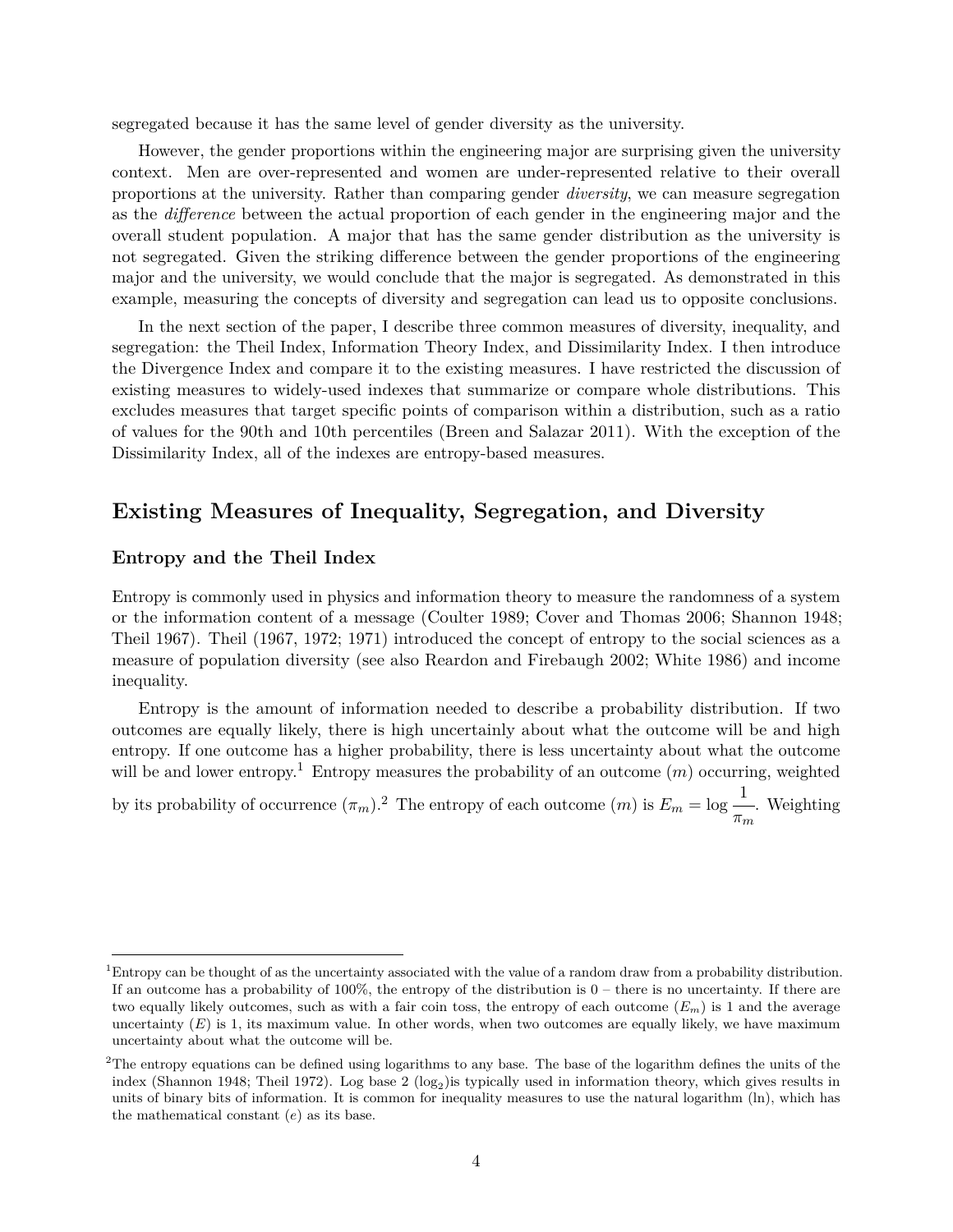segregated because it has the same level of gender diversity as the university.

However, the gender proportions within the engineering major are surprising given the university context. Men are over-represented and women are under-represented relative to their overall proportions at the university. Rather than comparing gender *diversity*, we can measure segregation as the *difference* between the actual proportion of each gender in the engineering major and the overall student population. A major that has the same gender distribution as the university is not segregated. Given the striking difference between the gender proportions of the engineering major and the university, we would conclude that the major is segregated. As demonstrated in this example, measuring the concepts of diversity and segregation can lead us to opposite conclusions.

In the next section of the paper, I describe three common measures of diversity, inequality, and segregation: the Theil Index, Information Theory Index, and Dissimilarity Index. I then introduce the Divergence Index and compare it to the existing measures. I have restricted the discussion of existing measures to widely-used indexes that summarize or compare whole distributions. This excludes measures that target specific points of comparison within a distribution, such as a ratio of values for the 90th and 10th percentiles (Breen and Salazar 2011). With the exception of the Dissimilarity Index, all of the indexes are entropy-based measures.

## **Existing Measures of Inequality, Segregation, and Diversity**

### **Entropy and the Theil Index**

Entropy is commonly used in physics and information theory to measure the randomness of a system or the information content of a message (Coulter 1989; Cover and Thomas 2006; Shannon 1948; Theil 1967). Theil (1967, 1972; 1971) introduced the concept of entropy to the social sciences as a measure of population diversity (see also Reardon and Firebaugh 2002; White 1986) and income inequality.

Entropy is the amount of information needed to describe a probability distribution. If two outcomes are equally likely, there is high uncertainly about what the outcome will be and high entropy. If one outcome has a higher probability, there is less uncertainty about what the outcome will be and lower entropy.<sup>[1](#page-3-0)</sup> Entropy measures the probability of an outcome  $(m)$  occurring, weighted

by its probability of occurrence  $(\pi_m)^2$  $(\pi_m)^2$ . The entropy of each outcome  $(m)$  is  $E_m = \log \frac{1}{\pi_m}$  $\frac{1}{\pi_m}$ . Weighting

<span id="page-3-0"></span><sup>1</sup>Entropy can be thought of as the uncertainty associated with the value of a random draw from a probability distribution. If an outcome has a probability of  $100\%$ , the entropy of the distribution is  $0$  – there is no uncertainty. If there are two equally likely outcomes, such as with a fair coin toss, the entropy of each outcome (*Em*) is 1 and the average uncertainty (*E*) is 1, its maximum value. In other words, when two outcomes are equally likely, we have maximum uncertainty about what the outcome will be.

<span id="page-3-1"></span><sup>&</sup>lt;sup>2</sup>The entropy equations can be defined using logarithms to any base. The base of the logarithm defines the units of the index (Shannon 1948; Theil 1972). Log base 2  $(\log_2)$  is typically used in information theory, which gives results in units of binary bits of information. It is common for inequality measures to use the natural logarithm (ln), which has the mathematical constant (*e*) as its base.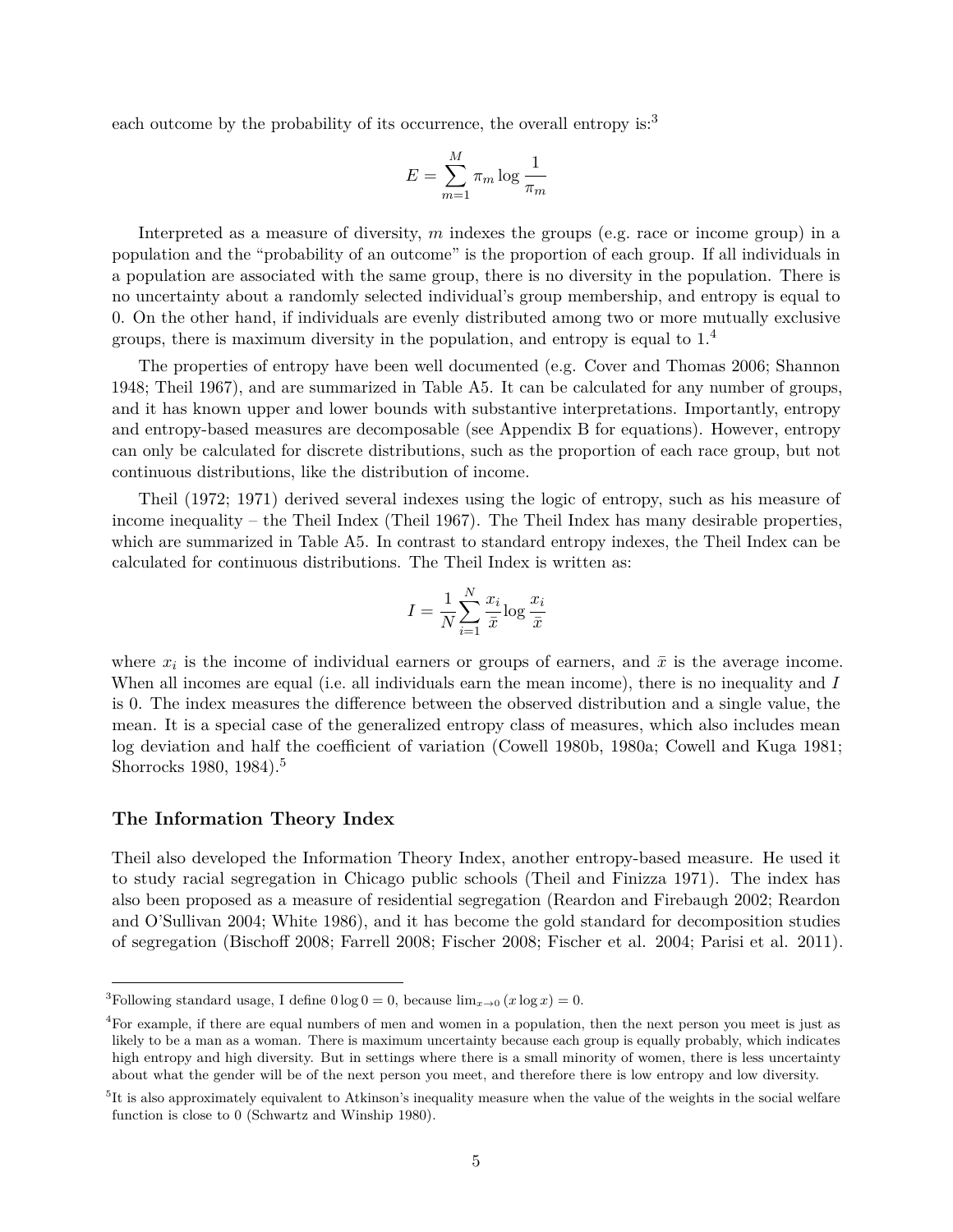each outcome by the probability of its occurrence, the overall entropy is:<sup>[3](#page-4-0)</sup>

$$
E = \sum_{m=1}^{M} \pi_m \log \frac{1}{\pi_m}
$$

Interpreted as a measure of diversity, *m* indexes the groups (e.g. race or income group) in a population and the "probability of an outcome" is the proportion of each group. If all individuals in a population are associated with the same group, there is no diversity in the population. There is no uncertainty about a randomly selected individual's group membership, and entropy is equal to 0. On the other hand, if individuals are evenly distributed among two or more mutually exclusive groups, there is maximum diversity in the population, and entropy is equal to 1.[4](#page-4-1)

The properties of entropy have been well documented (e.g. Cover and Thomas 2006; Shannon 1948; Theil 1967), and are summarized in Table [A5.](#page-24-0) It can be calculated for any number of groups, and it has known upper and lower bounds with substantive interpretations. Importantly, entropy and entropy-based measures are decomposable (see Appendix B for equations). However, entropy can only be calculated for discrete distributions, such as the proportion of each race group, but not continuous distributions, like the distribution of income.

Theil (1972; 1971) derived several indexes using the logic of entropy, such as his measure of income inequality – the Theil Index (Theil 1967). The Theil Index has many desirable properties, which are summarized in Table [A5.](#page-24-0) In contrast to standard entropy indexes, the Theil Index can be calculated for continuous distributions. The Theil Index is written as:

$$
I = \frac{1}{N} \sum_{i=1}^{N} \frac{x_i}{\bar{x}} \log \frac{x_i}{\bar{x}}
$$

where  $x_i$  is the income of individual earners or groups of earners, and  $\bar{x}$  is the average income. When all incomes are equal (i.e. all individuals earn the mean income), there is no inequality and *I* is 0. The index measures the difference between the observed distribution and a single value, the mean. It is a special case of the generalized entropy class of measures, which also includes mean log deviation and half the coefficient of variation (Cowell 1980b, 1980a; Cowell and Kuga 1981; Shorrocks 1980, 1984).<sup>[5](#page-4-2)</sup>

### **The Information Theory Index**

Theil also developed the Information Theory Index, another entropy-based measure. He used it to study racial segregation in Chicago public schools (Theil and Finizza 1971). The index has also been proposed as a measure of residential segregation (Reardon and Firebaugh 2002; Reardon and O'Sullivan 2004; White 1986), and it has become the gold standard for decomposition studies of segregation (Bischoff 2008; Farrell 2008; Fischer 2008; Fischer et al. 2004; Parisi et al. 2011).

<span id="page-4-0"></span><sup>&</sup>lt;sup>3</sup>Following standard usage, I define  $0 \log 0 = 0$ , because  $\lim_{x\to 0} (x \log x) = 0$ .

<span id="page-4-1"></span><sup>4</sup>For example, if there are equal numbers of men and women in a population, then the next person you meet is just as likely to be a man as a woman. There is maximum uncertainty because each group is equally probably, which indicates high entropy and high diversity. But in settings where there is a small minority of women, there is less uncertainty about what the gender will be of the next person you meet, and therefore there is low entropy and low diversity.

<span id="page-4-2"></span><sup>&</sup>lt;sup>5</sup>It is also approximately equivalent to Atkinson's inequality measure when the value of the weights in the social welfare function is close to 0 (Schwartz and Winship 1980).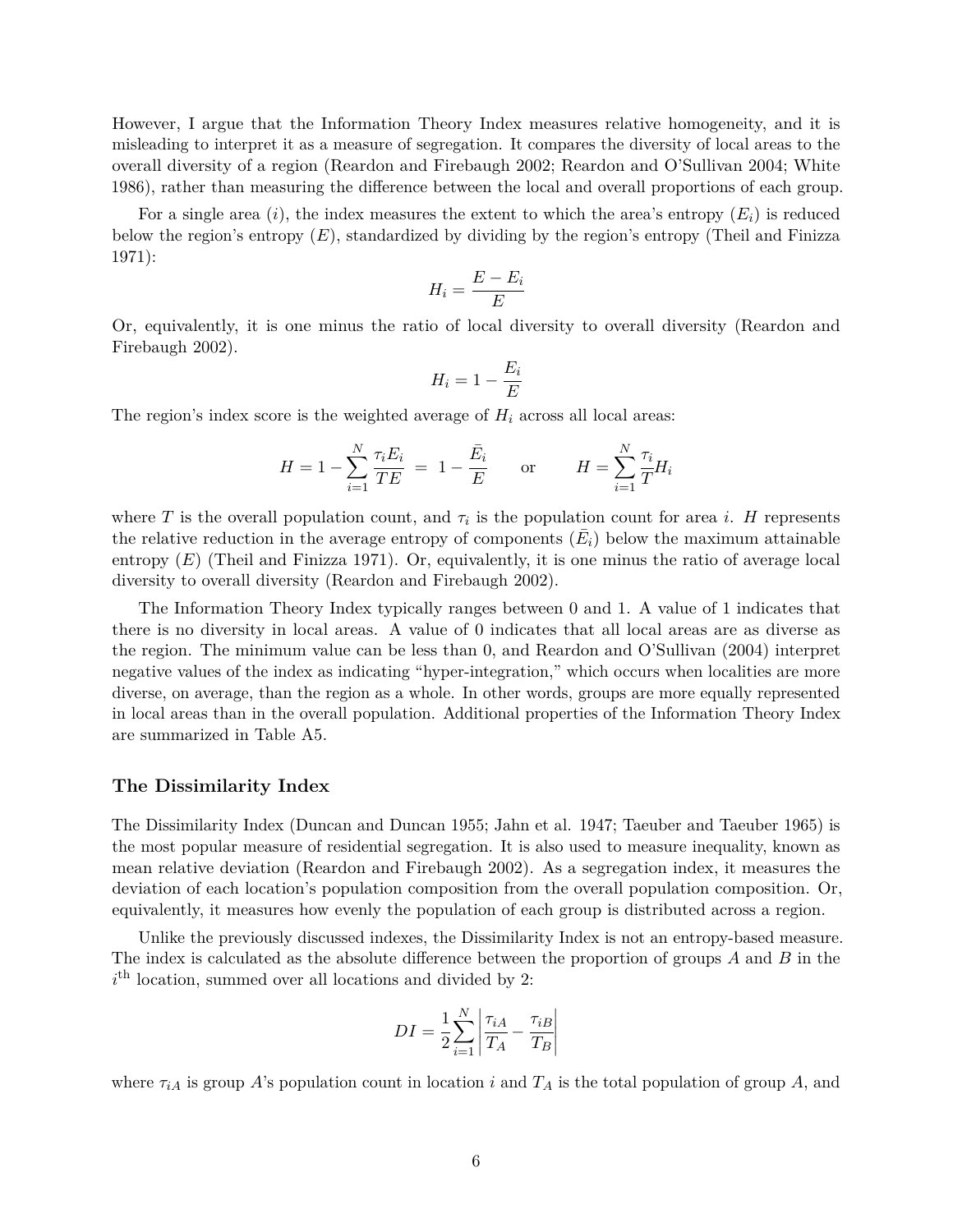However, I argue that the Information Theory Index measures relative homogeneity, and it is misleading to interpret it as a measure of segregation. It compares the diversity of local areas to the overall diversity of a region (Reardon and Firebaugh 2002; Reardon and O'Sullivan 2004; White 1986), rather than measuring the difference between the local and overall proportions of each group.

For a single area  $(i)$ , the index measures the extent to which the area's entropy  $(E_i)$  is reduced below the region's entropy (*E*), standardized by dividing by the region's entropy (Theil and Finizza 1971):

$$
H_i = \frac{E - E_i}{E}
$$

Or, equivalently, it is one minus the ratio of local diversity to overall diversity (Reardon and Firebaugh 2002).

$$
H_i = 1 - \frac{E_i}{E}
$$

The region's index score is the weighted average of *H<sup>i</sup>* across all local areas:

$$
H = 1 - \sum_{i=1}^{N} \frac{\tau_i E_i}{TE} = 1 - \frac{\bar{E}_i}{E} \quad \text{or} \quad H = \sum_{i=1}^{N} \frac{\tau_i}{T} H_i
$$

where *T* is the overall population count, and  $\tau_i$  is the population count for area *i*. *H* represents the relative reduction in the average entropy of components  $(\bar{E}_i)$  below the maximum attainable entropy (*E*) (Theil and Finizza 1971). Or, equivalently, it is one minus the ratio of average local diversity to overall diversity (Reardon and Firebaugh 2002).

The Information Theory Index typically ranges between 0 and 1. A value of 1 indicates that there is no diversity in local areas. A value of 0 indicates that all local areas are as diverse as the region. The minimum value can be less than 0, and Reardon and O'Sullivan (2004) interpret negative values of the index as indicating "hyper-integration," which occurs when localities are more diverse, on average, than the region as a whole. In other words, groups are more equally represented in local areas than in the overall population. Additional properties of the Information Theory Index are summarized in Table [A5.](#page-24-0)

#### **The Dissimilarity Index**

The Dissimilarity Index (Duncan and Duncan 1955; Jahn et al. 1947; Taeuber and Taeuber 1965) is the most popular measure of residential segregation. It is also used to measure inequality, known as mean relative deviation (Reardon and Firebaugh 2002). As a segregation index, it measures the deviation of each location's population composition from the overall population composition. Or, equivalently, it measures how evenly the population of each group is distributed across a region.

Unlike the previously discussed indexes, the Dissimilarity Index is not an entropy-based measure. The index is calculated as the absolute difference between the proportion of groups *A* and *B* in the  $i<sup>th</sup>$  location, summed over all locations and divided by 2:

$$
DI = \frac{1}{2} \sum_{i=1}^{N} \left| \frac{\tau_{iA}}{T_A} - \frac{\tau_{iB}}{T_B} \right|
$$

where  $\tau_{iA}$  is group *A*'s population count in location *i* and  $T_A$  is the total population of group *A*, and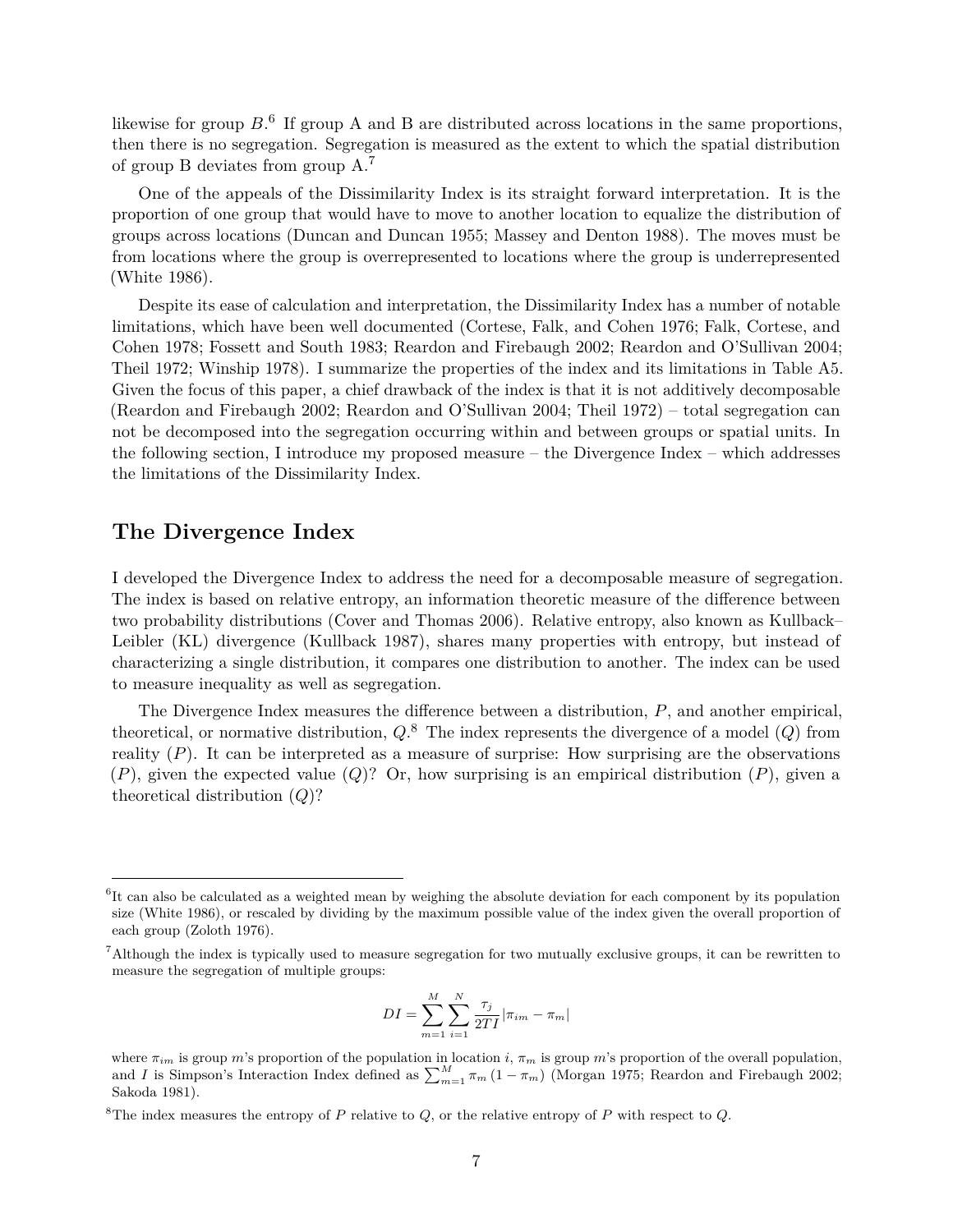likewise for group  $B$ <sup>[6](#page-6-0)</sup>. If group A and B are distributed across locations in the same proportions, then there is no segregation. Segregation is measured as the extent to which the spatial distribution of group B deviates from group A.[7](#page-6-1)

One of the appeals of the Dissimilarity Index is its straight forward interpretation. It is the proportion of one group that would have to move to another location to equalize the distribution of groups across locations (Duncan and Duncan 1955; Massey and Denton 1988). The moves must be from locations where the group is overrepresented to locations where the group is underrepresented (White 1986).

Despite its ease of calculation and interpretation, the Dissimilarity Index has a number of notable limitations, which have been well documented (Cortese, Falk, and Cohen 1976; Falk, Cortese, and Cohen 1978; Fossett and South 1983; Reardon and Firebaugh 2002; Reardon and O'Sullivan 2004; Theil 1972; Winship 1978). I summarize the properties of the index and its limitations in Table [A5.](#page-24-0) Given the focus of this paper, a chief drawback of the index is that it is not additively decomposable (Reardon and Firebaugh 2002; Reardon and O'Sullivan 2004; Theil 1972) – total segregation can not be decomposed into the segregation occurring within and between groups or spatial units. In the following section, I introduce my proposed measure – the Divergence Index – which addresses the limitations of the Dissimilarity Index.

### **The Divergence Index**

I developed the Divergence Index to address the need for a decomposable measure of segregation. The index is based on relative entropy, an information theoretic measure of the difference between two probability distributions (Cover and Thomas 2006). Relative entropy, also known as Kullback– Leibler (KL) divergence (Kullback 1987), shares many properties with entropy, but instead of characterizing a single distribution, it compares one distribution to another. The index can be used to measure inequality as well as segregation.

The Divergence Index measures the difference between a distribution, *P*, and another empirical, theoretical, or normative distribution, *Q*. [8](#page-6-2) The index represents the divergence of a model (*Q*) from reality  $(P)$ . It can be interpreted as a measure of surprise: How surprising are the observations (*P*), given the expected value (*Q*)? Or, how surprising is an empirical distribution (*P*), given a theoretical distribution (*Q*)?

$$
DI = \sum_{m=1}^{M} \sum_{i=1}^{N} \frac{\tau_j}{2TI} |\pi_{im} - \pi_m|
$$

<span id="page-6-0"></span><sup>&</sup>lt;sup>6</sup>It can also be calculated as a weighted mean by weighing the absolute deviation for each component by its population size (White 1986), or rescaled by dividing by the maximum possible value of the index given the overall proportion of each group (Zoloth 1976).

<span id="page-6-1"></span><sup>7</sup>Although the index is typically used to measure segregation for two mutually exclusive groups, it can be rewritten to measure the segregation of multiple groups:

where  $\pi_{im}$  is group *m*'s proportion of the population in location *i*,  $\pi_m$  is group *m*'s proportion of the overall population, and *I* is Simpson's Interaction Index defined as  $\sum_{m=1}^{M} \pi_m (1 - \pi_m)$  (Morgan 1975; Reardon and Firebaugh 2002; Sakoda 1981).

<span id="page-6-2"></span><sup>&</sup>lt;sup>8</sup>The index measures the entropy of *P* relative to *Q*, or the relative entropy of *P* with respect to *Q*.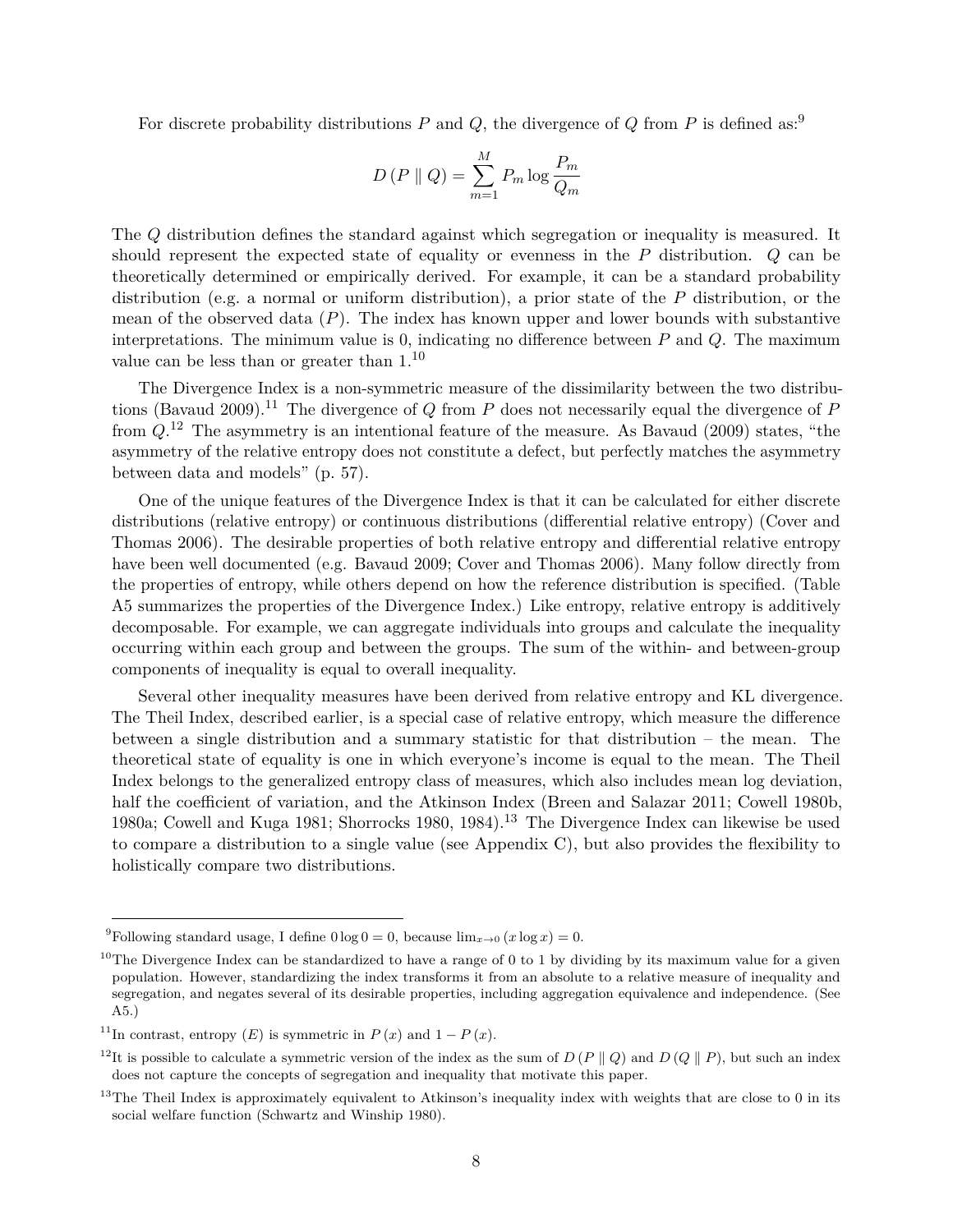For discrete probability distributions  $P$  and  $Q$ , the divergence of  $Q$  from  $P$  is defined as:<sup>[9](#page-7-0)</sup>

$$
D(P \parallel Q) = \sum_{m=1}^{M} P_m \log \frac{P_m}{Q_m}
$$

The *Q* distribution defines the standard against which segregation or inequality is measured. It should represent the expected state of equality or evenness in the *P* distribution. *Q* can be theoretically determined or empirically derived. For example, it can be a standard probability distribution (e.g. a normal or uniform distribution), a prior state of the *P* distribution, or the mean of the observed data (*P*). The index has known upper and lower bounds with substantive interpretations. The minimum value is 0, indicating no difference between *P* and *Q*. The maximum value can be less than or greater than 1.[10](#page-7-1)

The Divergence Index is a non-symmetric measure of the dissimilarity between the two distribu-tions (Bavaud 2009).<sup>[11](#page-7-2)</sup> The divergence of *Q* from *P* does not necessarily equal the divergence of *P* from *Q*. [12](#page-7-3) The asymmetry is an intentional feature of the measure. As Bavaud (2009) states, "the asymmetry of the relative entropy does not constitute a defect, but perfectly matches the asymmetry between data and models" (p. 57).

One of the unique features of the Divergence Index is that it can be calculated for either discrete distributions (relative entropy) or continuous distributions (differential relative entropy) (Cover and Thomas 2006). The desirable properties of both relative entropy and differential relative entropy have been well documented (e.g. Bavaud 2009; Cover and Thomas 2006). Many follow directly from the properties of entropy, while others depend on how the reference distribution is specified. (Table [A5](#page-24-0) summarizes the properties of the Divergence Index.) Like entropy, relative entropy is additively decomposable. For example, we can aggregate individuals into groups and calculate the inequality occurring within each group and between the groups. The sum of the within- and between-group components of inequality is equal to overall inequality.

Several other inequality measures have been derived from relative entropy and KL divergence. The Theil Index, described earlier, is a special case of relative entropy, which measure the difference between a single distribution and a summary statistic for that distribution – the mean. The theoretical state of equality is one in which everyone's income is equal to the mean. The Theil Index belongs to the generalized entropy class of measures, which also includes mean log deviation, half the coefficient of variation, and the Atkinson Index (Breen and Salazar 2011; Cowell 1980b, 1980a; Cowell and Kuga 1981; Shorrocks 1980, 1984).[13](#page-7-4) The Divergence Index can likewise be used to compare a distribution to a single value (see Appendix C), but also provides the flexibility to holistically compare two distributions.

<span id="page-7-0"></span><sup>&</sup>lt;sup>9</sup>Following standard usage, I define  $0 \log 0 = 0$ , because  $\lim_{x\to 0} (x \log x) = 0$ .

<span id="page-7-1"></span> $10$ The Divergence Index can be standardized to have a range of 0 to 1 by dividing by its maximum value for a given population. However, standardizing the index transforms it from an absolute to a relative measure of inequality and segregation, and negates several of its desirable properties, including aggregation equivalence and independence. (See [A5.](#page-24-0))

<span id="page-7-2"></span><sup>&</sup>lt;sup>11</sup>In contrast, entropy  $(E)$  is symmetric in  $P(x)$  and  $1 - P(x)$ .

<span id="page-7-3"></span><sup>&</sup>lt;sup>12</sup>It is possible to calculate a symmetric version of the index as the sum of  $D(P \parallel Q)$  and  $D(Q \parallel P)$ , but such an index does not capture the concepts of segregation and inequality that motivate this paper.

<span id="page-7-4"></span><sup>&</sup>lt;sup>13</sup>The Theil Index is approximately equivalent to Atkinson's inequality index with weights that are close to 0 in its social welfare function (Schwartz and Winship 1980).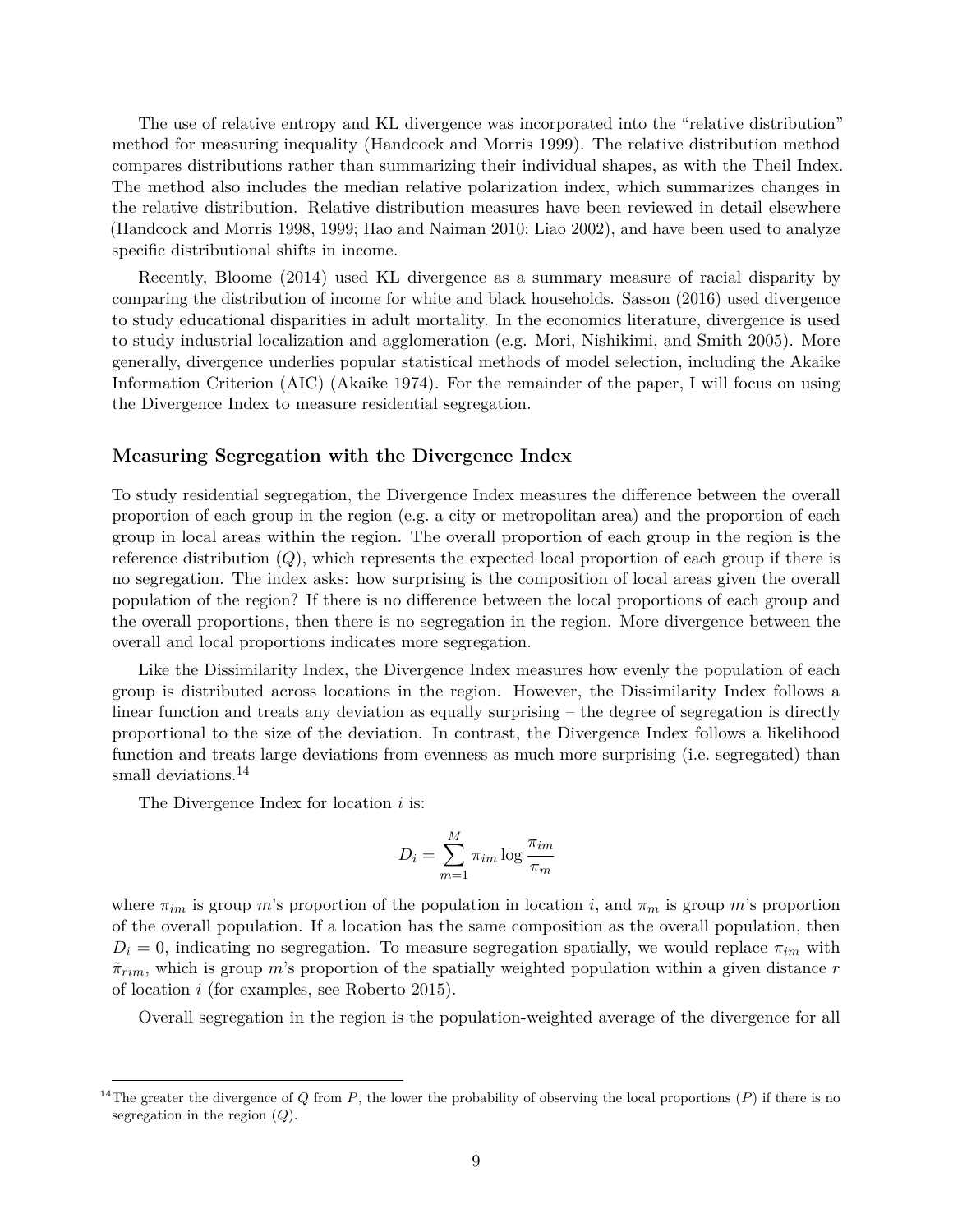The use of relative entropy and KL divergence was incorporated into the "relative distribution" method for measuring inequality (Handcock and Morris 1999). The relative distribution method compares distributions rather than summarizing their individual shapes, as with the Theil Index. The method also includes the median relative polarization index, which summarizes changes in the relative distribution. Relative distribution measures have been reviewed in detail elsewhere (Handcock and Morris 1998, 1999; Hao and Naiman 2010; Liao 2002), and have been used to analyze specific distributional shifts in income.

Recently, Bloome (2014) used KL divergence as a summary measure of racial disparity by comparing the distribution of income for white and black households. Sasson (2016) used divergence to study educational disparities in adult mortality. In the economics literature, divergence is used to study industrial localization and agglomeration (e.g. Mori, Nishikimi, and Smith 2005). More generally, divergence underlies popular statistical methods of model selection, including the Akaike Information Criterion (AIC) (Akaike 1974). For the remainder of the paper, I will focus on using the Divergence Index to measure residential segregation.

### **Measuring Segregation with the Divergence Index**

To study residential segregation, the Divergence Index measures the difference between the overall proportion of each group in the region (e.g. a city or metropolitan area) and the proportion of each group in local areas within the region. The overall proportion of each group in the region is the reference distribution (*Q*), which represents the expected local proportion of each group if there is no segregation. The index asks: how surprising is the composition of local areas given the overall population of the region? If there is no difference between the local proportions of each group and the overall proportions, then there is no segregation in the region. More divergence between the overall and local proportions indicates more segregation.

Like the Dissimilarity Index, the Divergence Index measures how evenly the population of each group is distributed across locations in the region. However, the Dissimilarity Index follows a linear function and treats any deviation as equally surprising – the degree of segregation is directly proportional to the size of the deviation. In contrast, the Divergence Index follows a likelihood function and treats large deviations from evenness as much more surprising (i.e. segregated) than small deviations.<sup>[14](#page-8-0)</sup>

The Divergence Index for location *i* is:

$$
D_i = \sum_{m=1}^{M} \pi_{im} \log \frac{\pi_{im}}{\pi_m}
$$

where  $\pi_{im}$  is group *m*'s proportion of the population in location *i*, and  $\pi_m$  is group *m*'s proportion of the overall population. If a location has the same composition as the overall population, then  $D_i = 0$ , indicating no segregation. To measure segregation spatially, we would replace  $\pi_{im}$  with  $\tilde{\pi}_{rim}$ , which is group *m*'s proportion of the spatially weighted population within a given distance *r* of location *i* (for examples, see Roberto 2015).

Overall segregation in the region is the population-weighted average of the divergence for all

<span id="page-8-0"></span><sup>&</sup>lt;sup>14</sup>The greater the divergence of *Q* from *P*, the lower the probability of observing the local proportions  $(P)$  if there is no segregation in the region (*Q*).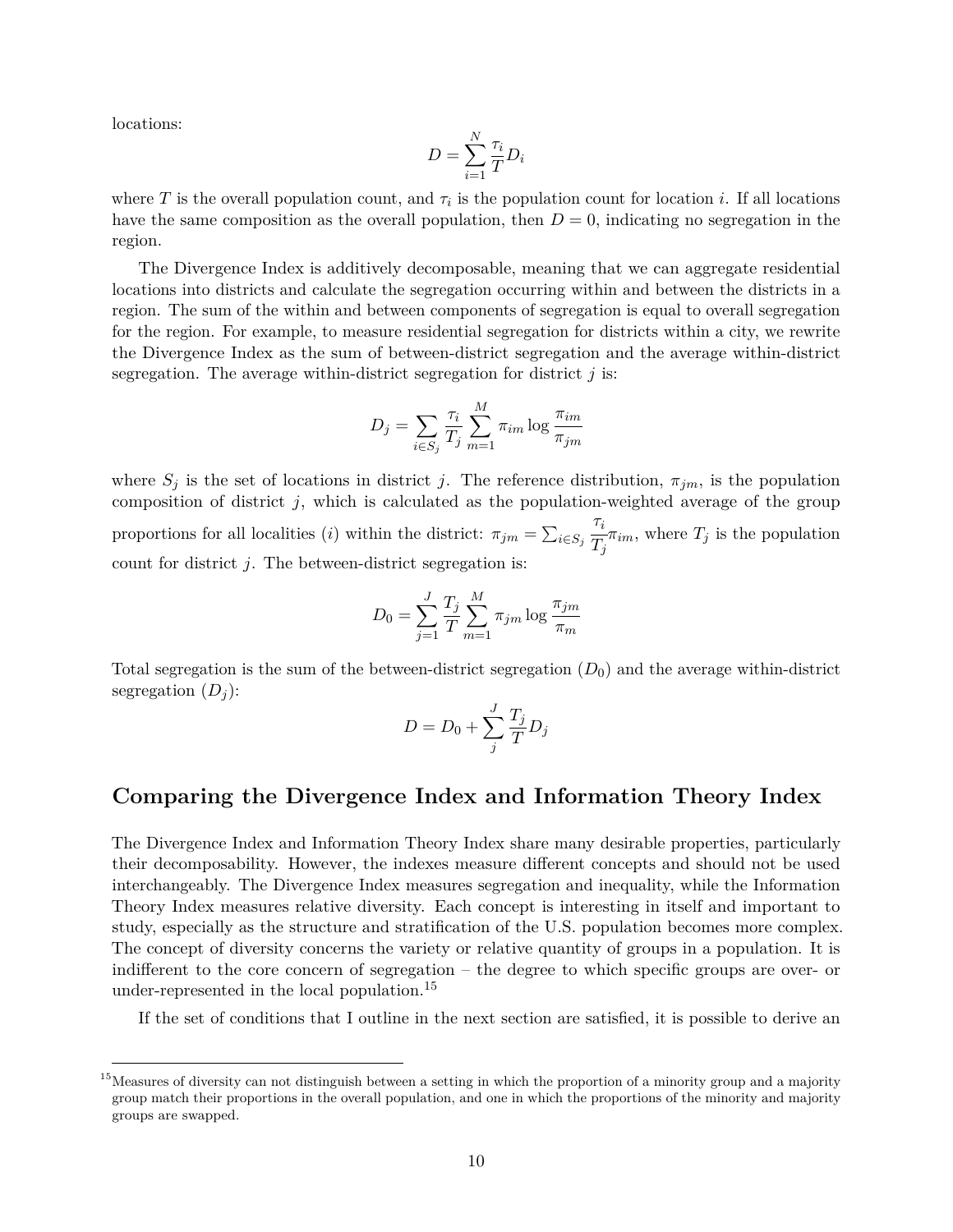locations:

$$
D = \sum_{i=1}^{N} \frac{\tau_i}{T} D_i
$$

where  $T$  is the overall population count, and  $\tau_i$  is the population count for location *i*. If all locations have the same composition as the overall population, then  $D = 0$ , indicating no segregation in the region.

The Divergence Index is additively decomposable, meaning that we can aggregate residential locations into districts and calculate the segregation occurring within and between the districts in a region. The sum of the within and between components of segregation is equal to overall segregation for the region. For example, to measure residential segregation for districts within a city, we rewrite the Divergence Index as the sum of between-district segregation and the average within-district segregation. The average within-district segregation for district *j* is:

$$
D_j = \sum_{i \in S_j} \frac{\tau_i}{T_j} \sum_{m=1}^{M} \pi_{im} \log \frac{\pi_{im}}{\pi_{jm}}
$$

where  $S_j$  is the set of locations in district *j*. The reference distribution,  $\pi_{jm}$ , is the population composition of district *j*, which is calculated as the population-weighted average of the group proportions for all localities (*i*) within the district:  $\pi_{jm} = \sum_{i \in S_j}$ *τi*  $\frac{r}{T_j}\pi_{im}$ , where  $T_j$  is the population count for district *j*. The between-district segregation is:

$$
D_0 = \sum_{j=1}^{J} \frac{T_j}{T} \sum_{m=1}^{M} \pi_{jm} \log \frac{\pi_{jm}}{\pi_m}
$$

Total segregation is the sum of the between-district segregation  $(D_0)$  and the average within-district segregation  $(D_j)$ :

$$
D = D_0 + \sum_j^J \frac{T_j}{T} D_j
$$

### **Comparing the Divergence Index and Information Theory Index**

The Divergence Index and Information Theory Index share many desirable properties, particularly their decomposability. However, the indexes measure different concepts and should not be used interchangeably. The Divergence Index measures segregation and inequality, while the Information Theory Index measures relative diversity. Each concept is interesting in itself and important to study, especially as the structure and stratification of the U.S. population becomes more complex. The concept of diversity concerns the variety or relative quantity of groups in a population. It is indifferent to the core concern of segregation – the degree to which specific groups are over- or under-represented in the local population.[15](#page-9-0)

If the set of conditions that I outline in the next section are satisfied, it is possible to derive an

<span id="page-9-0"></span><sup>&</sup>lt;sup>15</sup> Measures of diversity can not distinguish between a setting in which the proportion of a minority group and a majority group match their proportions in the overall population, and one in which the proportions of the minority and majority groups are swapped.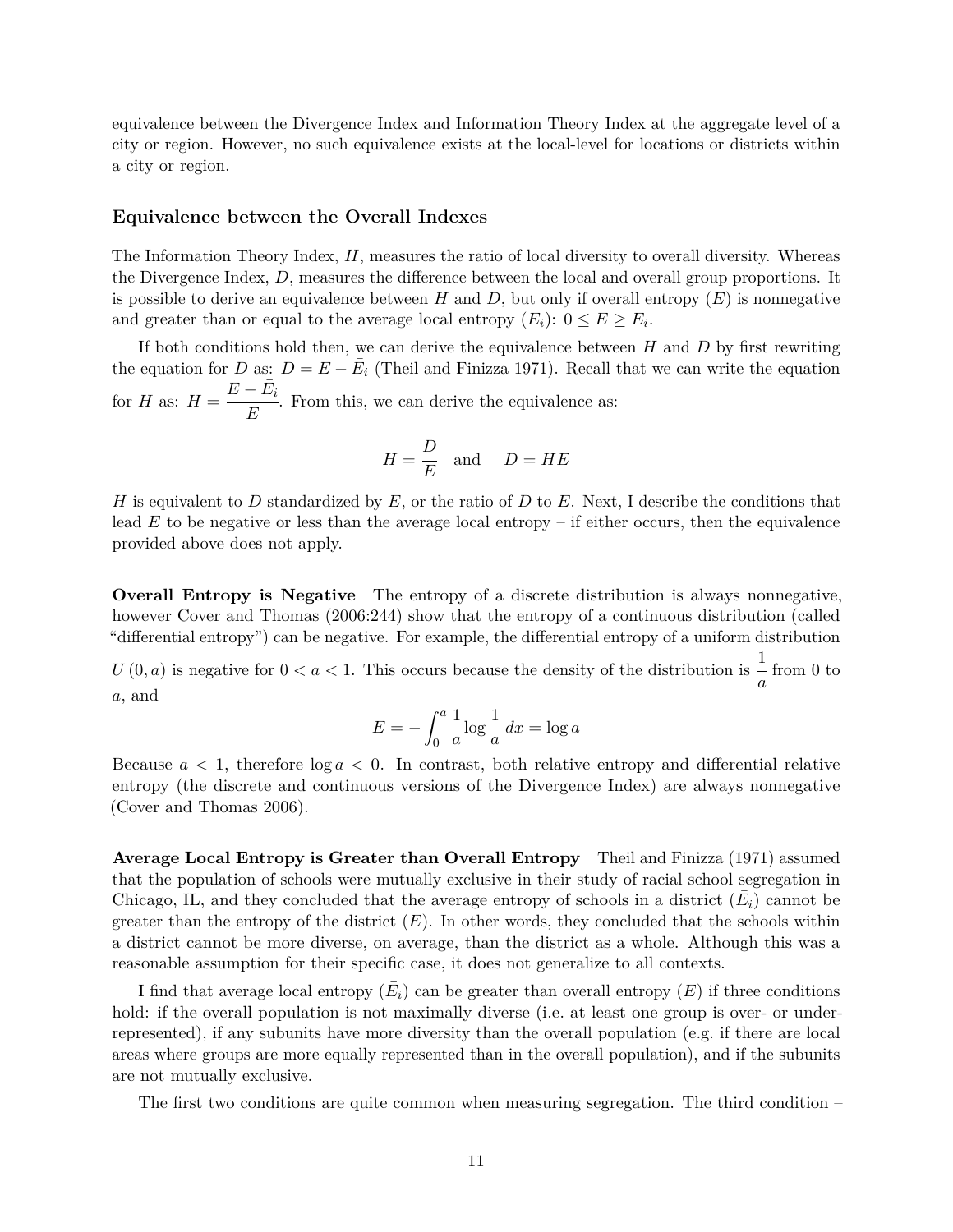equivalence between the Divergence Index and Information Theory Index at the aggregate level of a city or region. However, no such equivalence exists at the local-level for locations or districts within a city or region.

#### **Equivalence between the Overall Indexes**

The Information Theory Index, *H*, measures the ratio of local diversity to overall diversity. Whereas the Divergence Index, *D*, measures the difference between the local and overall group proportions. It is possible to derive an equivalence between  $H$  and  $D$ , but only if overall entropy  $(E)$  is nonnegative and greater than or equal to the average local entropy  $(\bar{E}_i)$ :  $0 \le E \ge \bar{E}_i$ .

If both conditions hold then, we can derive the equivalence between *H* and *D* by first rewriting the equation for *D* as:  $D = E - \overline{E}_i$  (Theil and Finizza 1971). Recall that we can write the equation for *H* as:  $H =$  $E - \bar{E_i}$  $\frac{-i}{E}$ . From this, we can derive the equivalence as:

$$
H = \frac{D}{E} \quad \text{and} \quad D = HE
$$

*H* is equivalent to *D* standardized by *E*, or the ratio of *D* to *E*. Next, I describe the conditions that lead *E* to be negative or less than the average local entropy – if either occurs, then the equivalence provided above does not apply.

**Overall Entropy is Negative** The entropy of a discrete distribution is always nonnegative, however Cover and Thomas (2006:244) show that the entropy of a continuous distribution (called "differential entropy") can be negative. For example, the differential entropy of a uniform distribution

 $U(0, a)$  is negative for  $0 < a < 1$ . This occurs because the density of the distribution is 1  $\frac{1}{a}$  from 0 to *a*, and

$$
E = -\int_0^a \frac{1}{a} \log \frac{1}{a} dx = \log a
$$

Because  $a < 1$ , therefore  $\log a < 0$ . In contrast, both relative entropy and differential relative entropy (the discrete and continuous versions of the Divergence Index) are always nonnegative (Cover and Thomas 2006).

**Average Local Entropy is Greater than Overall Entropy** Theil and Finizza (1971) assumed that the population of schools were mutually exclusive in their study of racial school segregation in Chicago, IL, and they concluded that the average entropy of schools in a district  $(\bar{E}_i)$  cannot be greater than the entropy of the district  $(E)$ . In other words, they concluded that the schools within a district cannot be more diverse, on average, than the district as a whole. Although this was a reasonable assumption for their specific case, it does not generalize to all contexts.

I find that average local entropy  $(\bar{E}_i)$  can be greater than overall entropy  $(E)$  if three conditions hold: if the overall population is not maximally diverse (i.e. at least one group is over- or underrepresented), if any subunits have more diversity than the overall population (e.g. if there are local areas where groups are more equally represented than in the overall population), and if the subunits are not mutually exclusive.

The first two conditions are quite common when measuring segregation. The third condition –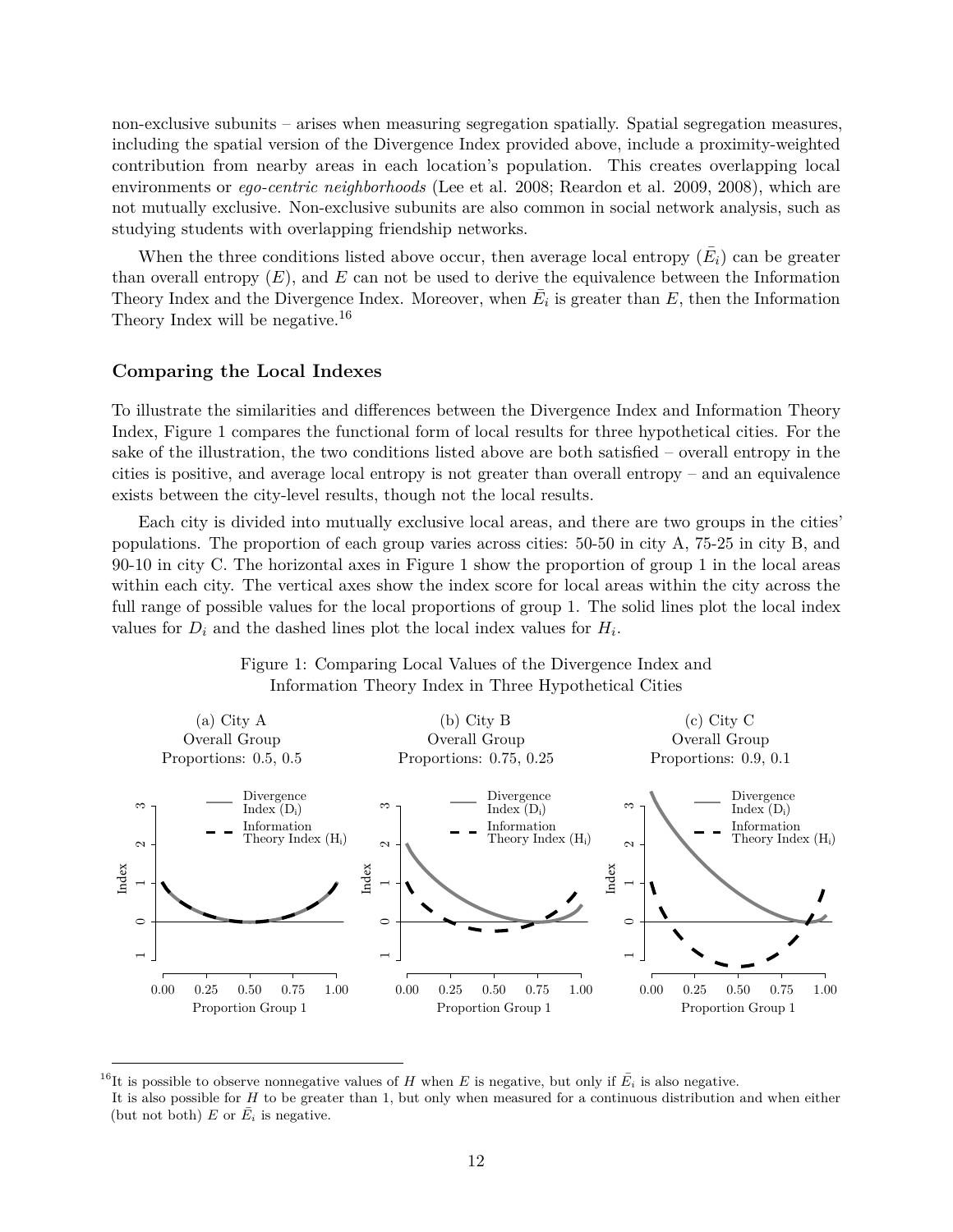non-exclusive subunits – arises when measuring segregation spatially. Spatial segregation measures, including the spatial version of the Divergence Index provided above, include a proximity-weighted contribution from nearby areas in each location's population. This creates overlapping local environments or *ego-centric neighborhoods* (Lee et al. 2008; Reardon et al. 2009, 2008), which are not mutually exclusive. Non-exclusive subunits are also common in social network analysis, such as studying students with overlapping friendship networks.

When the three conditions listed above occur, then average local entropy  $(\bar{E}_i)$  can be greater than overall entropy  $(E)$ , and  $E$  can not be used to derive the equivalence between the Information Theory Index and the Divergence Index. Moreover, when  $\overline{E}_i$  is greater than  $E$ , then the Information Theory Index will be negative.<sup>[16](#page-11-0)</sup>

### **Comparing the Local Indexes**

To illustrate the similarities and differences between the Divergence Index and Information Theory Index, Figure [1](#page-11-1) compares the functional form of local results for three hypothetical cities. For the sake of the illustration, the two conditions listed above are both satisfied – overall entropy in the cities is positive, and average local entropy is not greater than overall entropy – and an equivalence exists between the city-level results, though not the local results.

Each city is divided into mutually exclusive local areas, and there are two groups in the cities' populations. The proportion of each group varies across cities: 50-50 in city A, 75-25 in city B, and 90-10 in city C. The horizontal axes in Figure [1](#page-11-1) show the proportion of group 1 in the local areas within each city. The vertical axes show the index score for local areas within the city across the full range of possible values for the local proportions of group 1. The solid lines plot the local index values for  $D_i$  and the dashed lines plot the local index values for  $H_i$ .

<span id="page-11-1"></span>



<span id="page-11-0"></span><sup>&</sup>lt;sup>16</sup>It is possible to observe nonnegative values of *H* when *E* is negative, but only if  $\bar{E}_i$  is also negative.

It is also possible for *H* to be greater than 1, but only when measured for a continuous distribution and when either (but not both)  $E$  or  $\overline{E}_i$  is negative.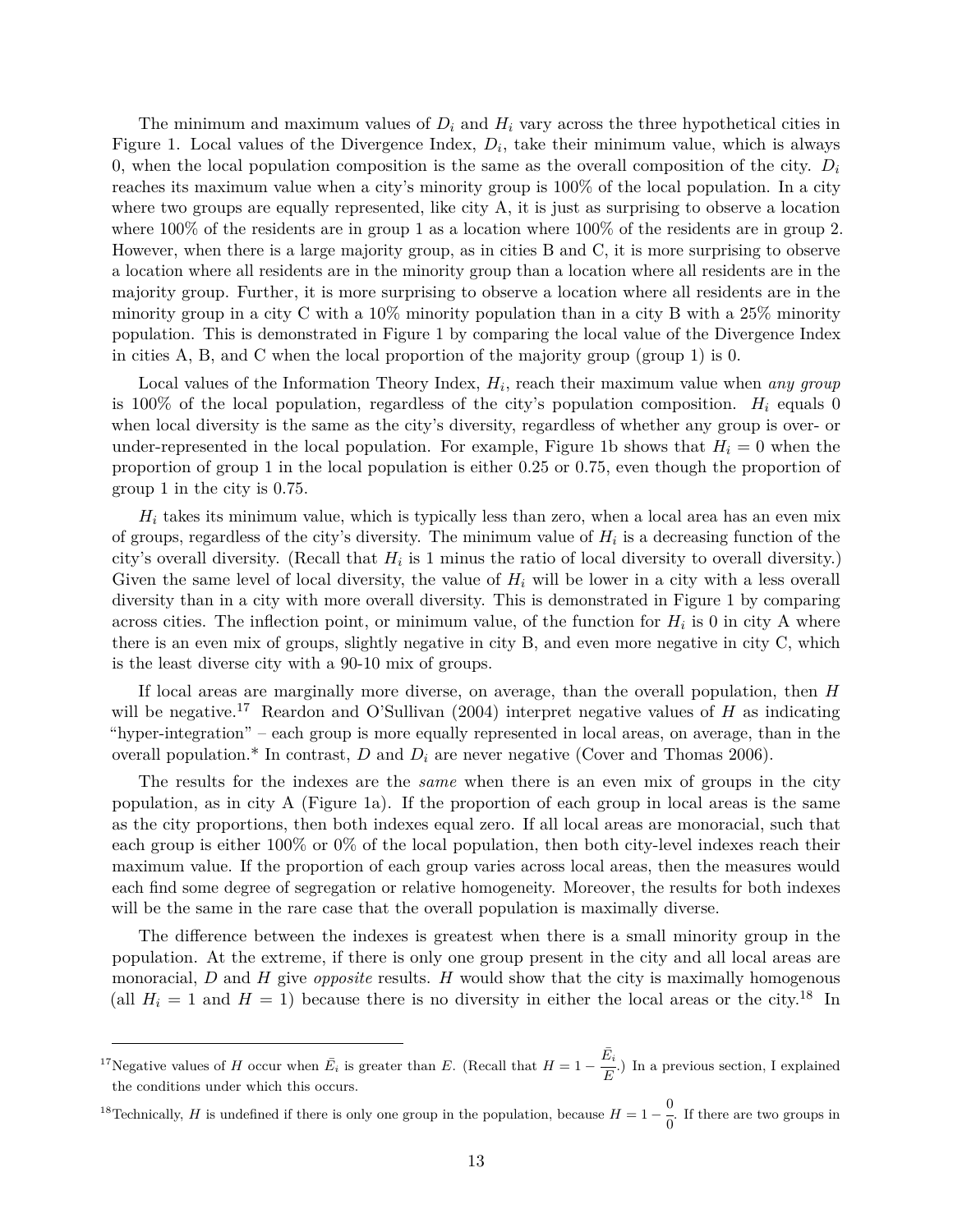The minimum and maximum values of  $D_i$  and  $H_i$  vary across the three hypothetical cities in Figure [1.](#page-11-1) Local values of the Divergence Index,  $D_i$ , take their minimum value, which is always 0, when the local population composition is the same as the overall composition of the city.  $D_i$ reaches its maximum value when a city's minority group is 100% of the local population. In a city where two groups are equally represented, like city A, it is just as surprising to observe a location where 100% of the residents are in group 1 as a location where 100% of the residents are in group 2. However, when there is a large majority group, as in cities B and C, it is more surprising to observe a location where all residents are in the minority group than a location where all residents are in the majority group. Further, it is more surprising to observe a location where all residents are in the minority group in a city C with a  $10\%$  minority population than in a city B with a  $25\%$  minority population. This is demonstrated in Figure [1](#page-11-1) by comparing the local value of the Divergence Index in cities A, B, and C when the local proportion of the majority group (group 1) is 0.

Local values of the Information Theory Index,  $H_i$ , reach their maximum value when *any group* is 100% of the local population, regardless of the city's population composition.  $H_i$  equals 0 when local diversity is the same as the city's diversity, regardless of whether any group is over- or under-represented in the local population. For example, Figure [1b](#page-11-1) shows that  $H_i = 0$  when the proportion of group 1 in the local population is either 0.25 or 0.75, even though the proportion of group 1 in the city is 0.75.

 $H_i$  takes its minimum value, which is typically less than zero, when a local area has an even mix of groups, regardless of the city's diversity. The minimum value of  $H_i$  is a decreasing function of the city's overall diversity. (Recall that  $H_i$  is 1 minus the ratio of local diversity to overall diversity.) Given the same level of local diversity, the value of *H<sup>i</sup>* will be lower in a city with a less overall diversity than in a city with more overall diversity. This is demonstrated in Figure [1](#page-11-1) by comparing across cities. The inflection point, or minimum value, of the function for  $H_i$  is 0 in city A where there is an even mix of groups, slightly negative in city B, and even more negative in city C, which is the least diverse city with a 90-10 mix of groups.

If local areas are marginally more diverse, on average, than the overall population, then *H* will be negative.<sup>[17](#page-12-0)</sup> Reardon and O'Sullivan (2004) interpret negative values of *H* as indicating "hyper-integration" – each group is more equally represented in local areas, on average, than in the overall population.\* In contrast,  $D$  and  $D_i$  are never negative (Cover and Thomas 2006).

The results for the indexes are the *same* when there is an even mix of groups in the city population, as in city A (Figure [1a\)](#page-11-1). If the proportion of each group in local areas is the same as the city proportions, then both indexes equal zero. If all local areas are monoracial, such that each group is either 100% or 0% of the local population, then both city-level indexes reach their maximum value. If the proportion of each group varies across local areas, then the measures would each find some degree of segregation or relative homogeneity. Moreover, the results for both indexes will be the same in the rare case that the overall population is maximally diverse.

The difference between the indexes is greatest when there is a small minority group in the population. At the extreme, if there is only one group present in the city and all local areas are monoracial, *D* and *H* give *opposite* results. *H* would show that the city is maximally homogenous (all  $H_i = 1$  and  $H = 1$ ) because there is no diversity in either the local areas or the city.<sup>[18](#page-12-1)</sup> In

<span id="page-12-1"></span><sup>18</sup>Technically, *H* is undefined if there is only one group in the population, because  $H = 1 - \frac{0}{0}$  $\frac{0}{0}$ . If there are two groups in

<span id="page-12-0"></span><sup>&</sup>lt;sup>17</sup>Negative values of *H* occur when  $\bar{E}_i$  is greater than *E*. (Recall that  $H = 1 - \frac{\bar{E}_i}{E}$  $\frac{e^{i}}{E}$ .) In a previous section, I explained the conditions under which this occurs.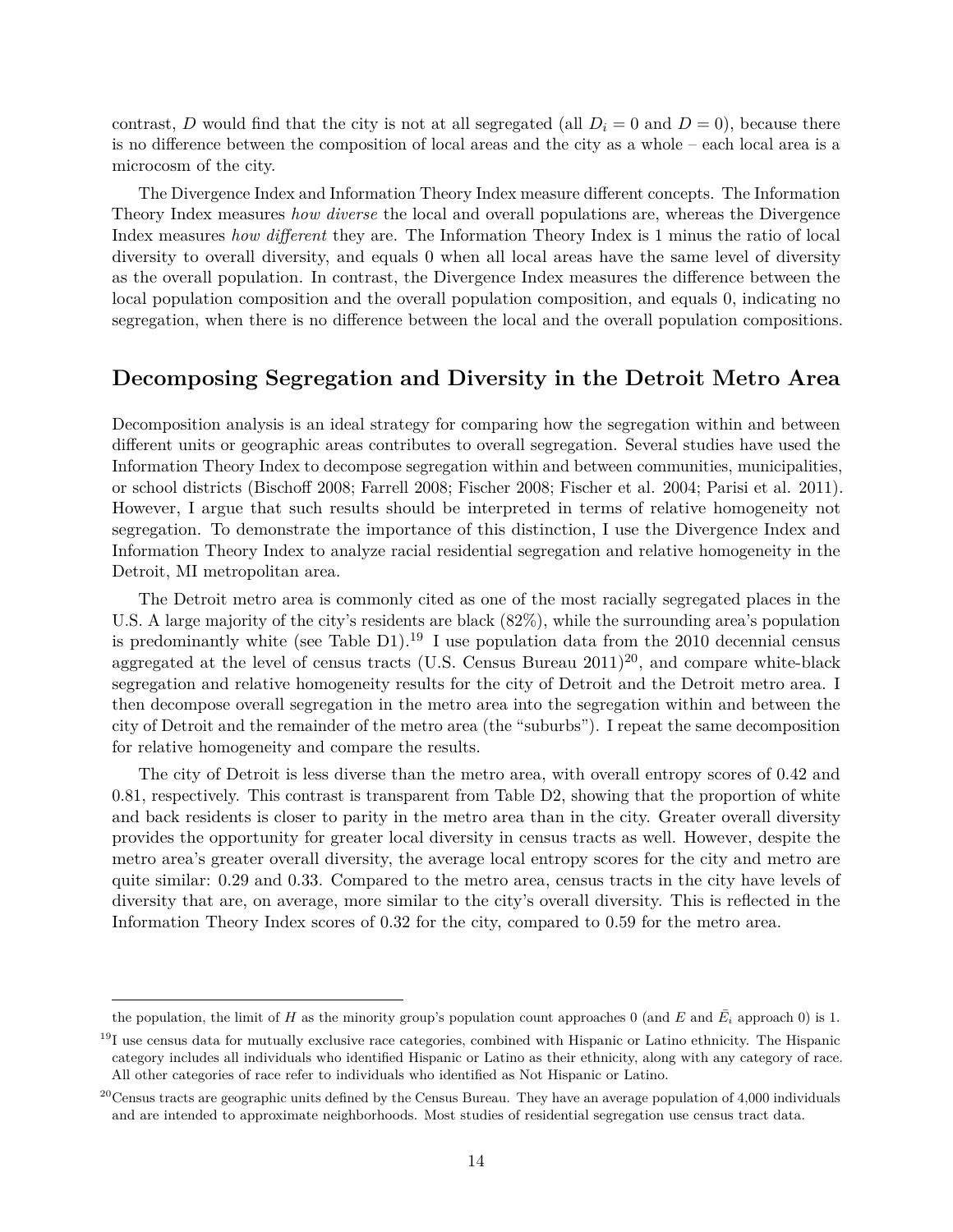contrast, *D* would find that the city is not at all segregated (all  $D_i = 0$  and  $D = 0$ ), because there is no difference between the composition of local areas and the city as a whole – each local area is a microcosm of the city.

The Divergence Index and Information Theory Index measure different concepts. The Information Theory Index measures *how diverse* the local and overall populations are, whereas the Divergence Index measures *how different* they are. The Information Theory Index is 1 minus the ratio of local diversity to overall diversity, and equals 0 when all local areas have the same level of diversity as the overall population. In contrast, the Divergence Index measures the difference between the local population composition and the overall population composition, and equals 0, indicating no segregation, when there is no difference between the local and the overall population compositions.

## **Decomposing Segregation and Diversity in the Detroit Metro Area**

Decomposition analysis is an ideal strategy for comparing how the segregation within and between different units or geographic areas contributes to overall segregation. Several studies have used the Information Theory Index to decompose segregation within and between communities, municipalities, or school districts (Bischoff 2008; Farrell 2008; Fischer 2008; Fischer et al. 2004; Parisi et al. 2011). However, I argue that such results should be interpreted in terms of relative homogeneity not segregation. To demonstrate the importance of this distinction, I use the Divergence Index and Information Theory Index to analyze racial residential segregation and relative homogeneity in the Detroit, MI metropolitan area.

The Detroit metro area is commonly cited as one of the most racially segregated places in the U.S. A large majority of the city's residents are black (82%), while the surrounding area's population is predominantly white (see Table [D1\)](#page-14-0).<sup>[19](#page-13-0)</sup> I use population data from the 2010 decennial census aggregated at the level of census tracts (U.S. Census Bureau  $2011$  $2011$ )<sup>20</sup>, and compare white-black segregation and relative homogeneity results for the city of Detroit and the Detroit metro area. I then decompose overall segregation in the metro area into the segregation within and between the city of Detroit and the remainder of the metro area (the "suburbs"). I repeat the same decomposition for relative homogeneity and compare the results.

The city of Detroit is less diverse than the metro area, with overall entropy scores of 0.42 and 0.81, respectively. This contrast is transparent from Table [D2,](#page-14-1) showing that the proportion of white and back residents is closer to parity in the metro area than in the city. Greater overall diversity provides the opportunity for greater local diversity in census tracts as well. However, despite the metro area's greater overall diversity, the average local entropy scores for the city and metro are quite similar: 0.29 and 0.33. Compared to the metro area, census tracts in the city have levels of diversity that are, on average, more similar to the city's overall diversity. This is reflected in the Information Theory Index scores of 0.32 for the city, compared to 0.59 for the metro area.

the population, the limit of *H* as the minority group's population count approaches 0 (and *E* and  $\bar{E}_i$  approach 0) is 1.

<span id="page-13-0"></span><sup>&</sup>lt;sup>19</sup>I use census data for mutually exclusive race categories, combined with Hispanic or Latino ethnicity. The Hispanic category includes all individuals who identified Hispanic or Latino as their ethnicity, along with any category of race. All other categories of race refer to individuals who identified as Not Hispanic or Latino.

<span id="page-13-1"></span> $^{20}$ Census tracts are geographic units defined by the Census Bureau. They have an average population of 4,000 individuals and are intended to approximate neighborhoods. Most studies of residential segregation use census tract data.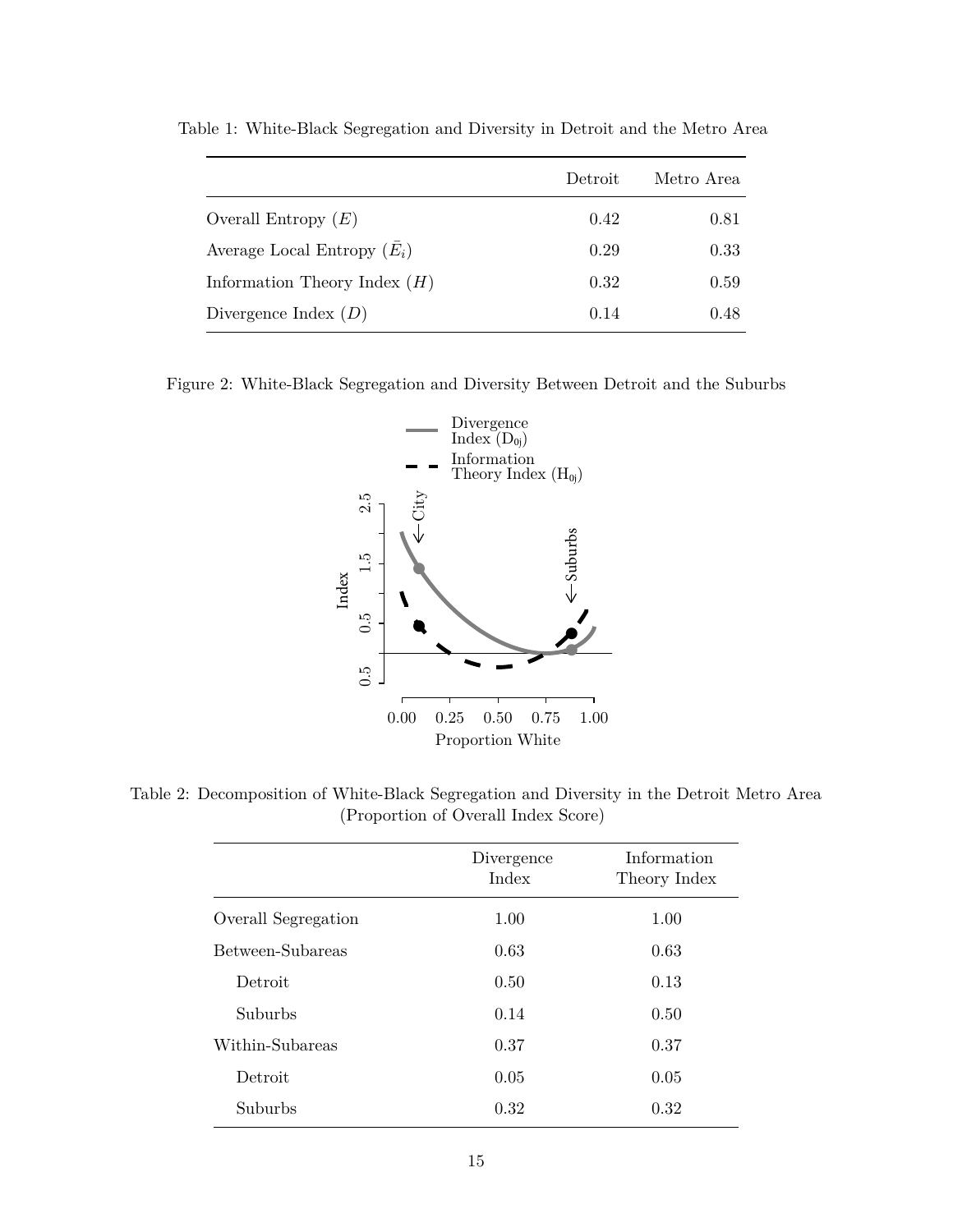|                                | Detroit | Metro Area |
|--------------------------------|---------|------------|
| Overall Entropy $(E)$          | 0.42    | 0.81       |
| Average Local Entropy $(E_i)$  | 0.29    | 0.33       |
| Information Theory Index $(H)$ | 0.32    | 0.59       |
| Divergence Index $(D)$         | 0.14    | 0.48       |

<span id="page-14-0"></span>Table 1: White-Black Segregation and Diversity in Detroit and the Metro Area

<span id="page-14-2"></span>Figure 2: White-Black Segregation and Diversity Between Detroit and the Suburbs



<span id="page-14-1"></span>Table 2: Decomposition of White-Black Segregation and Diversity in the Detroit Metro Area (Proportion of Overall Index Score)

|                     | Divergence<br>Index | Information<br>Theory Index |
|---------------------|---------------------|-----------------------------|
| Overall Segregation | 1.00                | 1.00                        |
| Between-Subareas    | 0.63                | 0.63                        |
| Detroit             | 0.50                | 0.13                        |
| Suburbs             | 0.14                | 0.50                        |
| Within-Subareas     | 0.37                | 0.37                        |
| Detroit             | 0.05                | 0.05                        |
| Suburbs             | 0.32                | 0.32                        |
|                     |                     |                             |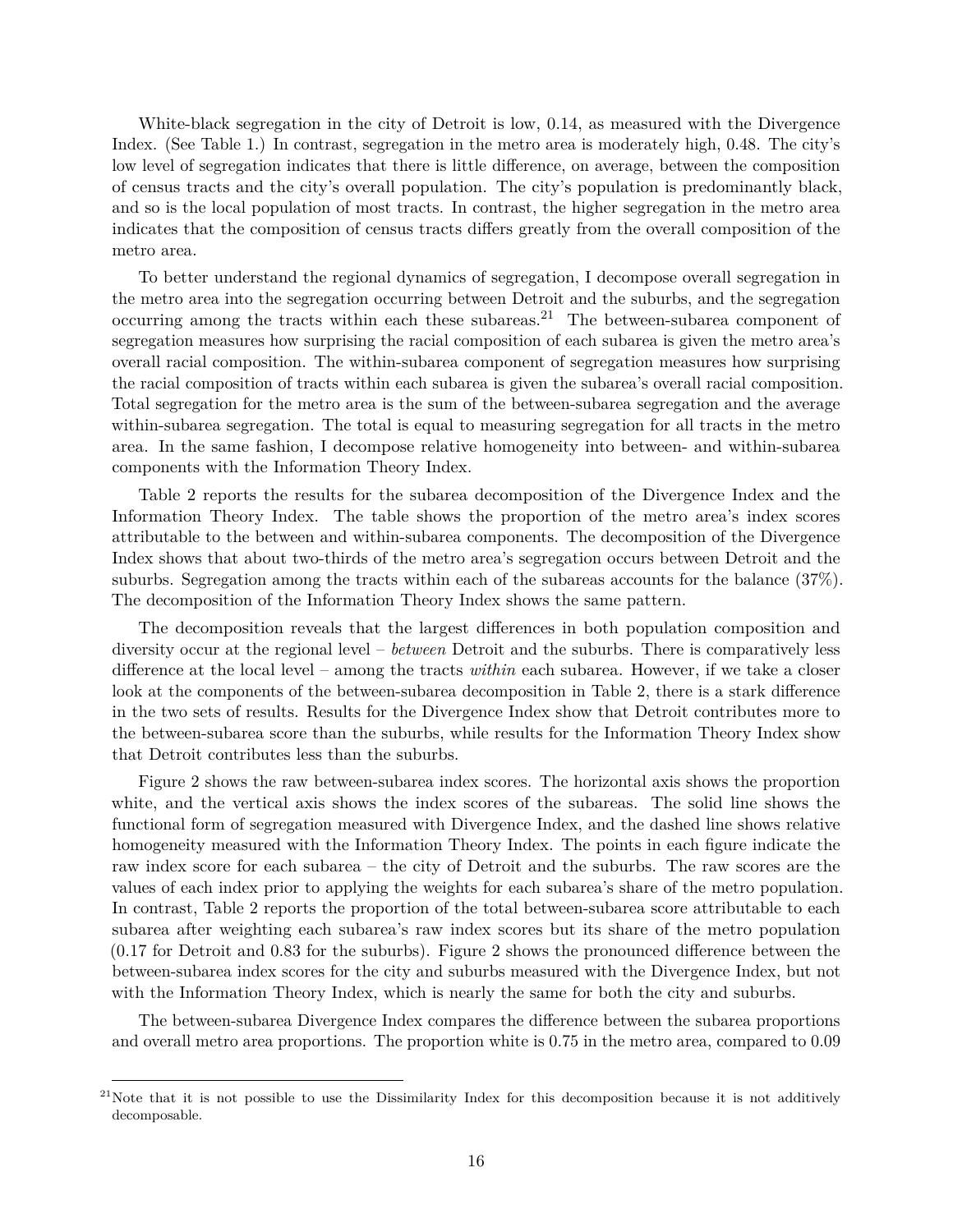White-black segregation in the city of Detroit is low, 0.14, as measured with the Divergence Index. (See Table [1.](#page-14-0)) In contrast, segregation in the metro area is moderately high, 0.48. The city's low level of segregation indicates that there is little difference, on average, between the composition of census tracts and the city's overall population. The city's population is predominantly black, and so is the local population of most tracts. In contrast, the higher segregation in the metro area indicates that the composition of census tracts differs greatly from the overall composition of the metro area.

To better understand the regional dynamics of segregation, I decompose overall segregation in the metro area into the segregation occurring between Detroit and the suburbs, and the segregation occurring among the tracts within each these subareas.<sup>[21](#page-15-0)</sup> The between-subarea component of segregation measures how surprising the racial composition of each subarea is given the metro area's overall racial composition. The within-subarea component of segregation measures how surprising the racial composition of tracts within each subarea is given the subarea's overall racial composition. Total segregation for the metro area is the sum of the between-subarea segregation and the average within-subarea segregation. The total is equal to measuring segregation for all tracts in the metro area. In the same fashion, I decompose relative homogeneity into between- and within-subarea components with the Information Theory Index.

Table [2](#page-14-1) reports the results for the subarea decomposition of the Divergence Index and the Information Theory Index. The table shows the proportion of the metro area's index scores attributable to the between and within-subarea components. The decomposition of the Divergence Index shows that about two-thirds of the metro area's segregation occurs between Detroit and the suburbs. Segregation among the tracts within each of the subareas accounts for the balance (37%). The decomposition of the Information Theory Index shows the same pattern.

The decomposition reveals that the largest differences in both population composition and diversity occur at the regional level – *between* Detroit and the suburbs. There is comparatively less difference at the local level – among the tracts *within* each subarea. However, if we take a closer look at the components of the between-subarea decomposition in Table [2,](#page-14-1) there is a stark difference in the two sets of results. Results for the Divergence Index show that Detroit contributes more to the between-subarea score than the suburbs, while results for the Information Theory Index show that Detroit contributes less than the suburbs.

Figure [2](#page-14-2) shows the raw between-subarea index scores. The horizontal axis shows the proportion white, and the vertical axis shows the index scores of the subareas. The solid line shows the functional form of segregation measured with Divergence Index, and the dashed line shows relative homogeneity measured with the Information Theory Index. The points in each figure indicate the raw index score for each subarea – the city of Detroit and the suburbs. The raw scores are the values of each index prior to applying the weights for each subarea's share of the metro population. In contrast, Table [2](#page-14-1) reports the proportion of the total between-subarea score attributable to each subarea after weighting each subarea's raw index scores but its share of the metro population (0.17 for Detroit and 0.83 for the suburbs). Figure [2](#page-14-2) shows the pronounced difference between the between-subarea index scores for the city and suburbs measured with the Divergence Index, but not with the Information Theory Index, which is nearly the same for both the city and suburbs.

The between-subarea Divergence Index compares the difference between the subarea proportions and overall metro area proportions. The proportion white is 0.75 in the metro area, compared to 0.09

<span id="page-15-0"></span> $21$ Note that it is not possible to use the Dissimilarity Index for this decomposition because it is not additively decomposable.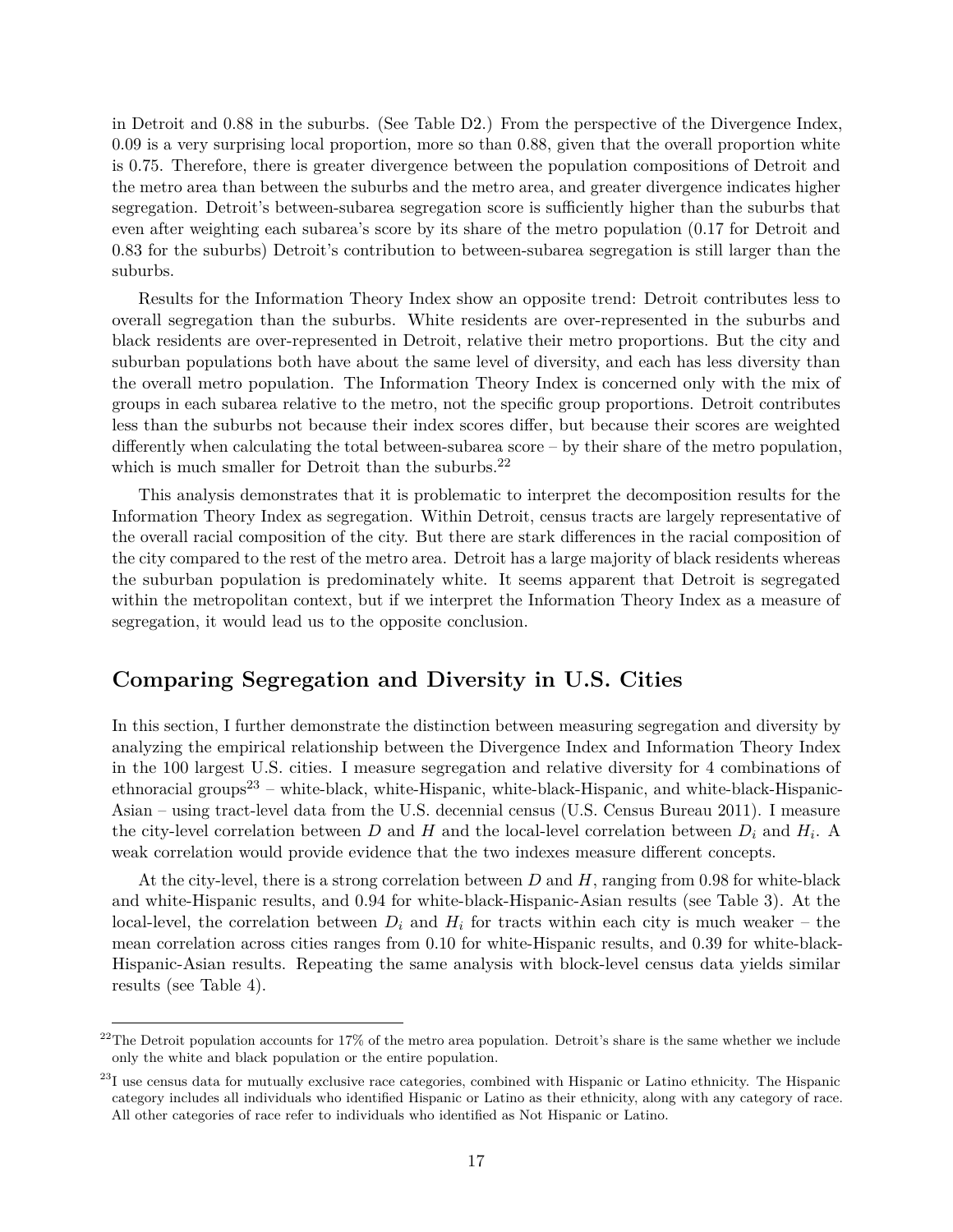in Detroit and 0.88 in the suburbs. (See Table [D2.](#page-14-1)) From the perspective of the Divergence Index, 0.09 is a very surprising local proportion, more so than 0.88, given that the overall proportion white is 0.75. Therefore, there is greater divergence between the population compositions of Detroit and the metro area than between the suburbs and the metro area, and greater divergence indicates higher segregation. Detroit's between-subarea segregation score is sufficiently higher than the suburbs that even after weighting each subarea's score by its share of the metro population (0.17 for Detroit and 0.83 for the suburbs) Detroit's contribution to between-subarea segregation is still larger than the suburbs.

Results for the Information Theory Index show an opposite trend: Detroit contributes less to overall segregation than the suburbs. White residents are over-represented in the suburbs and black residents are over-represented in Detroit, relative their metro proportions. But the city and suburban populations both have about the same level of diversity, and each has less diversity than the overall metro population. The Information Theory Index is concerned only with the mix of groups in each subarea relative to the metro, not the specific group proportions. Detroit contributes less than the suburbs not because their index scores differ, but because their scores are weighted differently when calculating the total between-subarea score – by their share of the metro population, which is much smaller for Detroit than the suburbs. $^{22}$  $^{22}$  $^{22}$ 

This analysis demonstrates that it is problematic to interpret the decomposition results for the Information Theory Index as segregation. Within Detroit, census tracts are largely representative of the overall racial composition of the city. But there are stark differences in the racial composition of the city compared to the rest of the metro area. Detroit has a large majority of black residents whereas the suburban population is predominately white. It seems apparent that Detroit is segregated within the metropolitan context, but if we interpret the Information Theory Index as a measure of segregation, it would lead us to the opposite conclusion.

## **Comparing Segregation and Diversity in U.S. Cities**

In this section, I further demonstrate the distinction between measuring segregation and diversity by analyzing the empirical relationship between the Divergence Index and Information Theory Index in the 100 largest U.S. cities. I measure segregation and relative diversity for 4 combinations of ethnoracial groups<sup>[23](#page-16-1)</sup> – white-black, white-Hispanic, white-black-Hispanic, and white-black-Hispanic-Asian – using tract-level data from the U.S. decennial census (U.S. Census Bureau 2011). I measure the city-level correlation between *D* and *H* and the local-level correlation between *D<sup>i</sup>* and *H<sup>i</sup>* . A weak correlation would provide evidence that the two indexes measure different concepts.

At the city-level, there is a strong correlation between *D* and *H*, ranging from 0.98 for white-black and white-Hispanic results, and 0.94 for white-black-Hispanic-Asian results (see Table [3\)](#page-17-0). At the local-level, the correlation between  $D_i$  and  $H_i$  for tracts within each city is much weaker – the mean correlation across cities ranges from 0.10 for white-Hispanic results, and 0.39 for white-black-Hispanic-Asian results. Repeating the same analysis with block-level census data yields similar results (see Table [4\)](#page-17-1).

<span id="page-16-0"></span> $^{22}$ The Detroit population accounts for 17% of the metro area population. Detroit's share is the same whether we include only the white and black population or the entire population.

<span id="page-16-1"></span> $^{23}$ I use census data for mutually exclusive race categories, combined with Hispanic or Latino ethnicity. The Hispanic category includes all individuals who identified Hispanic or Latino as their ethnicity, along with any category of race. All other categories of race refer to individuals who identified as Not Hispanic or Latino.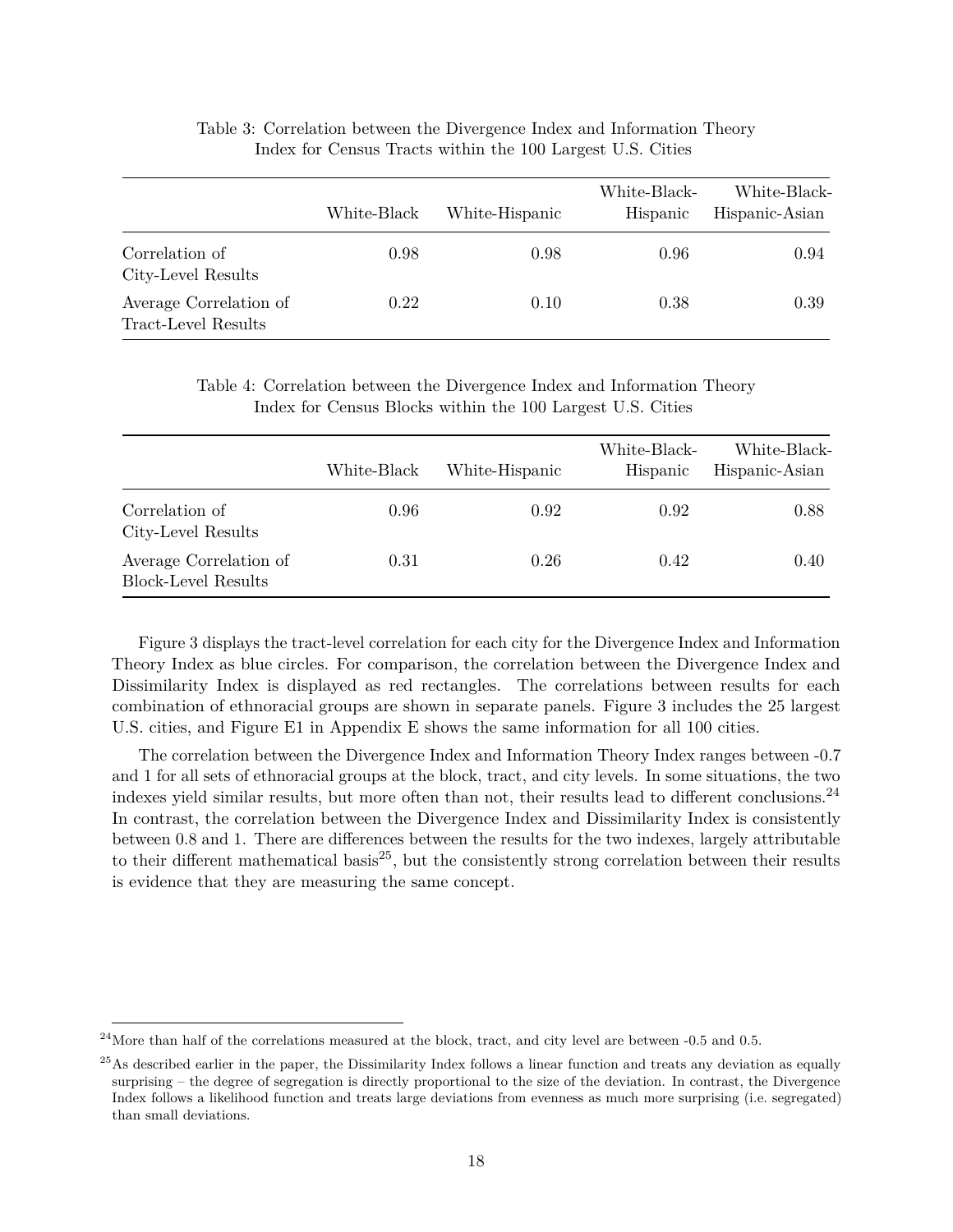<span id="page-17-0"></span>

|                                               | White-Black | White-Hispanic | White-Black-<br>Hispanic | White-Black-<br>Hispanic-Asian |
|-----------------------------------------------|-------------|----------------|--------------------------|--------------------------------|
| Correlation of<br>City-Level Results          | 0.98        | 0.98           | 0.96                     | 0.94                           |
| Average Correlation of<br>Tract-Level Results | 0.22        | 0.10           | 0.38                     | 0.39                           |

Table 3: Correlation between the Divergence Index and Information Theory Index for Census Tracts within the 100 Largest U.S. Cities

Table 4: Correlation between the Divergence Index and Information Theory Index for Census Blocks within the 100 Largest U.S. Cities

<span id="page-17-1"></span>

|                                                      | White-Black | White-Hispanic | White-Black-<br>Hispanic | White-Black-<br>Hispanic-Asian |
|------------------------------------------------------|-------------|----------------|--------------------------|--------------------------------|
| Correlation of<br>City-Level Results                 | 0.96        | 0.92           | 0.92                     | 0.88                           |
| Average Correlation of<br><b>Block-Level Results</b> | 0.31        | 0.26           | 0.42                     | 0.40                           |

Figure [3](#page-18-0) displays the tract-level correlation for each city for the Divergence Index and Information Theory Index as blue circles. For comparison, the correlation between the Divergence Index and Dissimilarity Index is displayed as red rectangles. The correlations between results for each combination of ethnoracial groups are shown in separate panels. Figure [3](#page-18-0) includes the 25 largest U.S. cities, and Figure [E1](#page-29-0) in Appendix E shows the same information for all 100 cities.

The correlation between the Divergence Index and Information Theory Index ranges between -0.7 and 1 for all sets of ethnoracial groups at the block, tract, and city levels. In some situations, the two indexes yield similar results, but more often than not, their results lead to different conclusions.[24](#page-17-2) In contrast, the correlation between the Divergence Index and Dissimilarity Index is consistently between 0.8 and 1. There are differences between the results for the two indexes, largely attributable to their different mathematical basis<sup>[25](#page-17-3)</sup>, but the consistently strong correlation between their results is evidence that they are measuring the same concept.

<span id="page-17-2"></span> $^{24}$ More than half of the correlations measured at the block, tract, and city level are between -0.5 and 0.5.

<span id="page-17-3"></span> $^{25}$ As described earlier in the paper, the Dissimilarity Index follows a linear function and treats any deviation as equally surprising – the degree of segregation is directly proportional to the size of the deviation. In contrast, the Divergence Index follows a likelihood function and treats large deviations from evenness as much more surprising (i.e. segregated) than small deviations.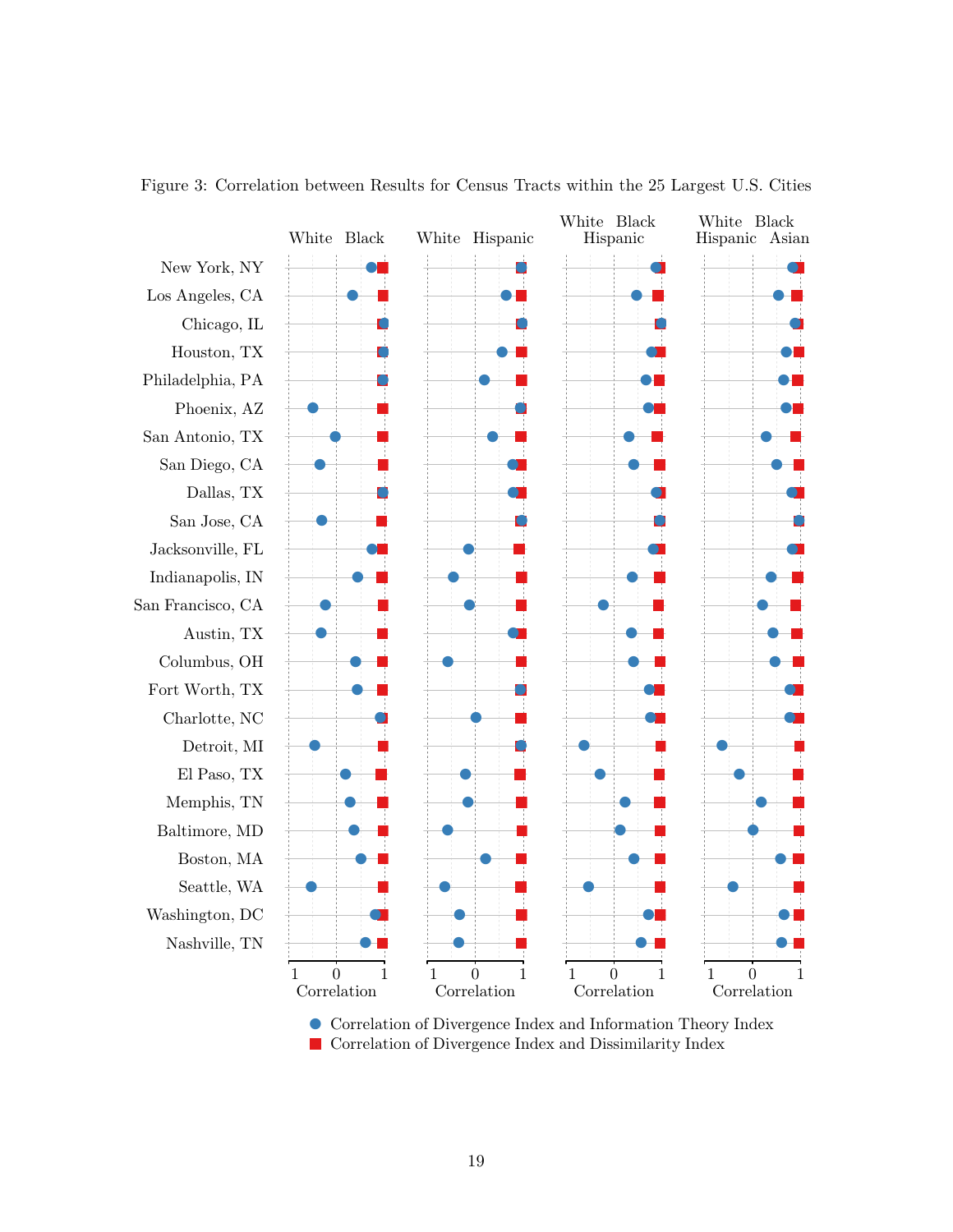

<span id="page-18-0"></span>Figure 3: Correlation between Results for Census Tracts within the 25 Largest U.S. Cities

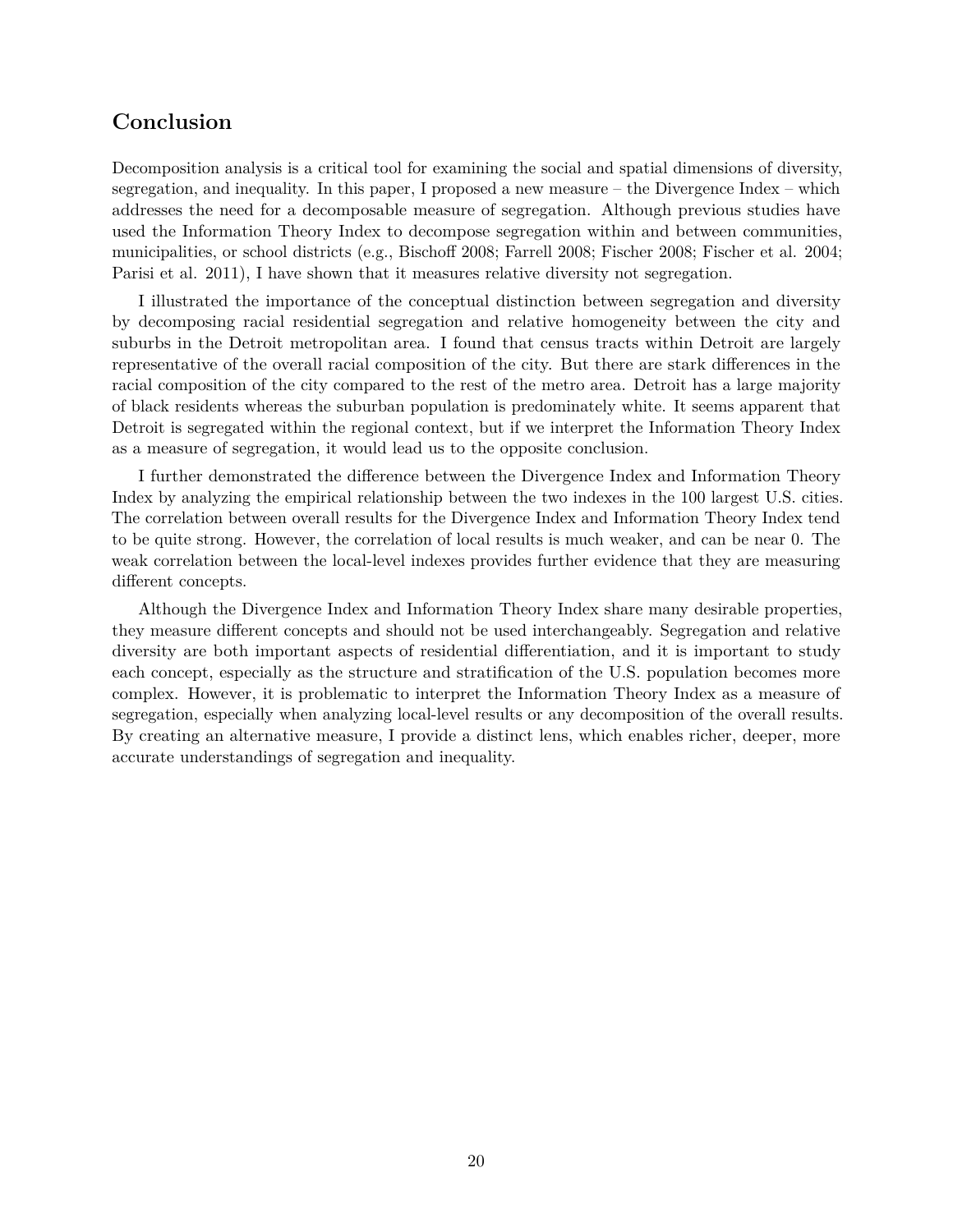## **Conclusion**

Decomposition analysis is a critical tool for examining the social and spatial dimensions of diversity, segregation, and inequality. In this paper, I proposed a new measure – the Divergence Index – which addresses the need for a decomposable measure of segregation. Although previous studies have used the Information Theory Index to decompose segregation within and between communities, municipalities, or school districts (e.g., Bischoff 2008; Farrell 2008; Fischer 2008; Fischer et al. 2004; Parisi et al. 2011), I have shown that it measures relative diversity not segregation.

I illustrated the importance of the conceptual distinction between segregation and diversity by decomposing racial residential segregation and relative homogeneity between the city and suburbs in the Detroit metropolitan area. I found that census tracts within Detroit are largely representative of the overall racial composition of the city. But there are stark differences in the racial composition of the city compared to the rest of the metro area. Detroit has a large majority of black residents whereas the suburban population is predominately white. It seems apparent that Detroit is segregated within the regional context, but if we interpret the Information Theory Index as a measure of segregation, it would lead us to the opposite conclusion.

I further demonstrated the difference between the Divergence Index and Information Theory Index by analyzing the empirical relationship between the two indexes in the 100 largest U.S. cities. The correlation between overall results for the Divergence Index and Information Theory Index tend to be quite strong. However, the correlation of local results is much weaker, and can be near 0. The weak correlation between the local-level indexes provides further evidence that they are measuring different concepts.

Although the Divergence Index and Information Theory Index share many desirable properties, they measure different concepts and should not be used interchangeably. Segregation and relative diversity are both important aspects of residential differentiation, and it is important to study each concept, especially as the structure and stratification of the U.S. population becomes more complex. However, it is problematic to interpret the Information Theory Index as a measure of segregation, especially when analyzing local-level results or any decomposition of the overall results. By creating an alternative measure, I provide a distinct lens, which enables richer, deeper, more accurate understandings of segregation and inequality.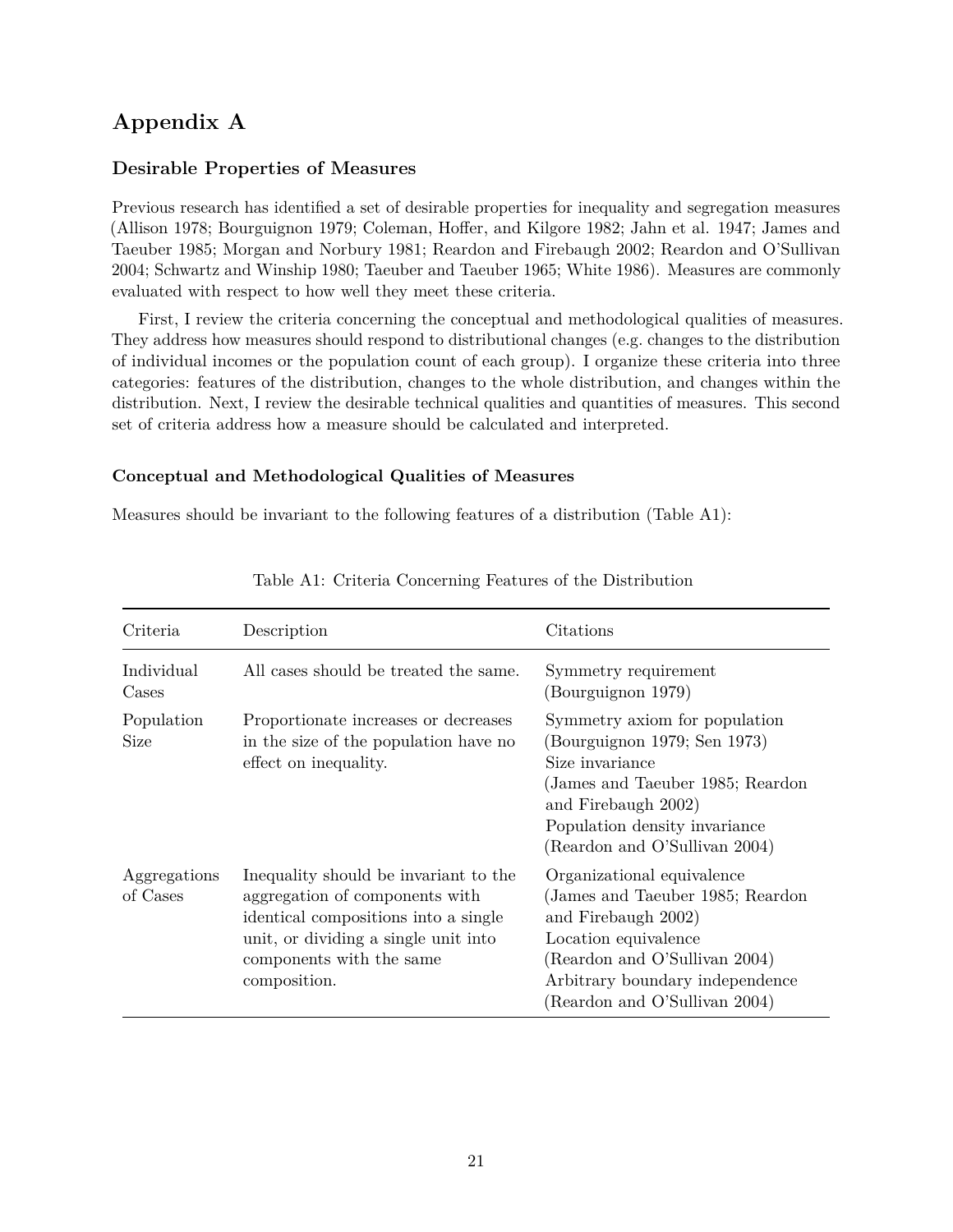## **Appendix A**

### **Desirable Properties of Measures**

Previous research has identified a set of desirable properties for inequality and segregation measures (Allison 1978; Bourguignon 1979; Coleman, Hoffer, and Kilgore 1982; Jahn et al. 1947; James and Taeuber 1985; Morgan and Norbury 1981; Reardon and Firebaugh 2002; Reardon and O'Sullivan 2004; Schwartz and Winship 1980; Taeuber and Taeuber 1965; White 1986). Measures are commonly evaluated with respect to how well they meet these criteria.

First, I review the criteria concerning the conceptual and methodological qualities of measures. They address how measures should respond to distributional changes (e.g. changes to the distribution of individual incomes or the population count of each group). I organize these criteria into three categories: features of the distribution, changes to the whole distribution, and changes within the distribution. Next, I review the desirable technical qualities and quantities of measures. This second set of criteria address how a measure should be calculated and interpreted.

### **Conceptual and Methodological Qualities of Measures**

Measures should be invariant to the following features of a distribution (Table [A1\)](#page-14-0):

| Criteria                  | Description                                                                                                                                                                                         | Citations                                                                                                                                                                                                           |
|---------------------------|-----------------------------------------------------------------------------------------------------------------------------------------------------------------------------------------------------|---------------------------------------------------------------------------------------------------------------------------------------------------------------------------------------------------------------------|
| Individual<br>Cases       | All cases should be treated the same.                                                                                                                                                               | Symmetry requirement<br>(Bourguignon 1979)                                                                                                                                                                          |
| Population<br><b>Size</b> | Proportionate increases or decreases<br>in the size of the population have no<br>effect on inequality.                                                                                              | Symmetry axiom for population<br>(Bourguignon 1979; Sen 1973)<br>Size invariance<br>(James and Taeuber 1985; Reardon)<br>and Firebaugh 2002)<br>Population density invariance<br>(Reardon and O'Sullivan 2004)      |
| Aggregations<br>of Cases  | Inequality should be invariant to the<br>aggregation of components with<br>identical compositions into a single<br>unit, or dividing a single unit into<br>components with the same<br>composition. | Organizational equivalence<br>(James and Taeuber 1985; Reardon)<br>and Firebaugh 2002)<br>Location equivalence<br>(Reardon and O'Sullivan 2004)<br>Arbitrary boundary independence<br>(Reardon and O'Sullivan 2004) |

### Table A1: Criteria Concerning Features of the Distribution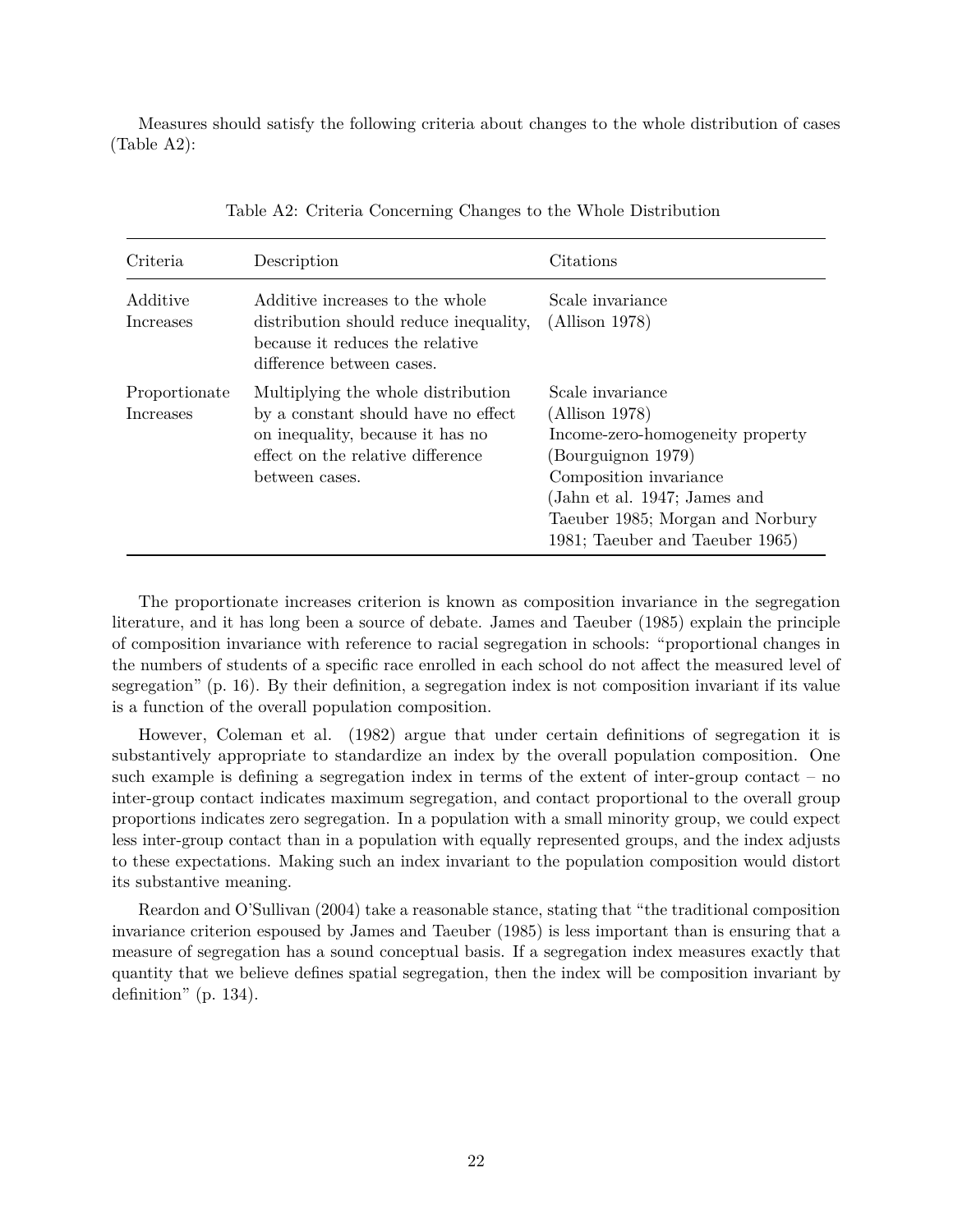Measures should satisfy the following criteria about changes to the whole distribution of cases (Table [A2\)](#page-14-1):

| Criteria                          | Description                                                                                                                                                          | Citations                                                                                                                                                                                                                     |
|-----------------------------------|----------------------------------------------------------------------------------------------------------------------------------------------------------------------|-------------------------------------------------------------------------------------------------------------------------------------------------------------------------------------------------------------------------------|
| Additive<br>Increases             | Additive increases to the whole<br>distribution should reduce inequality,<br>because it reduces the relative<br>difference between cases.                            | Scale invariance<br>(Allison 1978)                                                                                                                                                                                            |
| Proportionate<br><i>Increases</i> | Multiplying the whole distribution<br>by a constant should have no effect<br>on inequality, because it has no<br>effect on the relative difference<br>between cases. | Scale invariance<br>(Allison 1978)<br>Income-zero-homogeneity property<br>(Bourguignon 1979)<br>Composition invariance<br>(Jahn et al. 1947; James and<br>Taeuber 1985; Morgan and Norbury<br>1981; Taeuber and Taeuber 1965) |

| Table A2: Criteria Concerning Changes to the Whole Distribution |
|-----------------------------------------------------------------|
|-----------------------------------------------------------------|

The proportionate increases criterion is known as composition invariance in the segregation literature, and it has long been a source of debate. James and Taeuber (1985) explain the principle of composition invariance with reference to racial segregation in schools: "proportional changes in the numbers of students of a specific race enrolled in each school do not affect the measured level of segregation" (p. 16). By their definition, a segregation index is not composition invariant if its value is a function of the overall population composition.

However, Coleman et al. (1982) argue that under certain definitions of segregation it is substantively appropriate to standardize an index by the overall population composition. One such example is defining a segregation index in terms of the extent of inter-group contact – no inter-group contact indicates maximum segregation, and contact proportional to the overall group proportions indicates zero segregation. In a population with a small minority group, we could expect less inter-group contact than in a population with equally represented groups, and the index adjusts to these expectations. Making such an index invariant to the population composition would distort its substantive meaning.

Reardon and O'Sullivan (2004) take a reasonable stance, stating that "the traditional composition invariance criterion espoused by James and Taeuber (1985) is less important than is ensuring that a measure of segregation has a sound conceptual basis. If a segregation index measures exactly that quantity that we believe defines spatial segregation, then the index will be composition invariant by definition" (p. 134).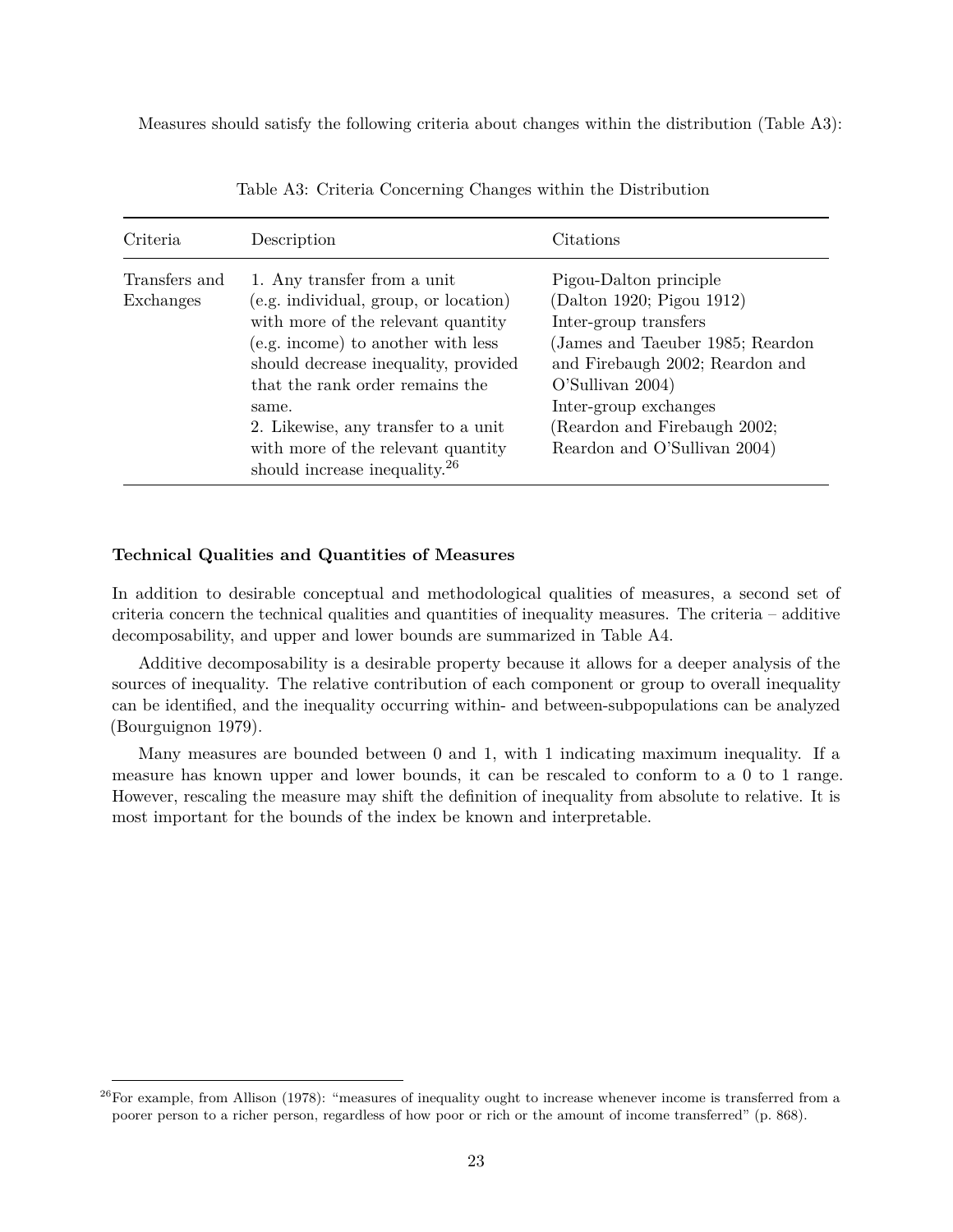Measures should satisfy the following criteria about changes within the distribution (Table [A3\)](#page-17-0):

| Criteria                   | Description                                                                                                                                                                                                                                                                                                                                                    | Citations                                                                                                                                                                                                                                                         |
|----------------------------|----------------------------------------------------------------------------------------------------------------------------------------------------------------------------------------------------------------------------------------------------------------------------------------------------------------------------------------------------------------|-------------------------------------------------------------------------------------------------------------------------------------------------------------------------------------------------------------------------------------------------------------------|
| Transfers and<br>Exchanges | 1. Any transfer from a unit<br>(e.g. individual, group, or location)<br>with more of the relevant quantity<br>(e.g. income) to another with less<br>should decrease inequality, provided<br>that the rank order remains the<br>same.<br>2. Likewise, any transfer to a unit<br>with more of the relevant quantity<br>should increase inequality. <sup>26</sup> | Pigou-Dalton principle<br>(Dalton 1920; Pigou 1912)<br>Inter-group transfers<br>(James and Taeuber 1985; Reardon)<br>and Firebaugh 2002; Reardon and<br>O'Sullivan 2004)<br>Inter-group exchanges<br>(Reardon and Firebaugh 2002;<br>Reardon and O'Sullivan 2004) |

Table A3: Criteria Concerning Changes within the Distribution

### **Technical Qualities and Quantities of Measures**

In addition to desirable conceptual and methodological qualities of measures, a second set of criteria concern the technical qualities and quantities of inequality measures. The criteria – additive decomposability, and upper and lower bounds are summarized in Table [A4.](#page-17-1)

Additive decomposability is a desirable property because it allows for a deeper analysis of the sources of inequality. The relative contribution of each component or group to overall inequality can be identified, and the inequality occurring within- and between-subpopulations can be analyzed (Bourguignon 1979).

Many measures are bounded between 0 and 1, with 1 indicating maximum inequality. If a measure has known upper and lower bounds, it can be rescaled to conform to a 0 to 1 range. However, rescaling the measure may shift the definition of inequality from absolute to relative. It is most important for the bounds of the index be known and interpretable.

<span id="page-22-0"></span> $^{26}$ For example, from Allison (1978): "measures of inequality ought to increase whenever income is transferred from a poorer person to a richer person, regardless of how poor or rich or the amount of income transferred" (p. 868).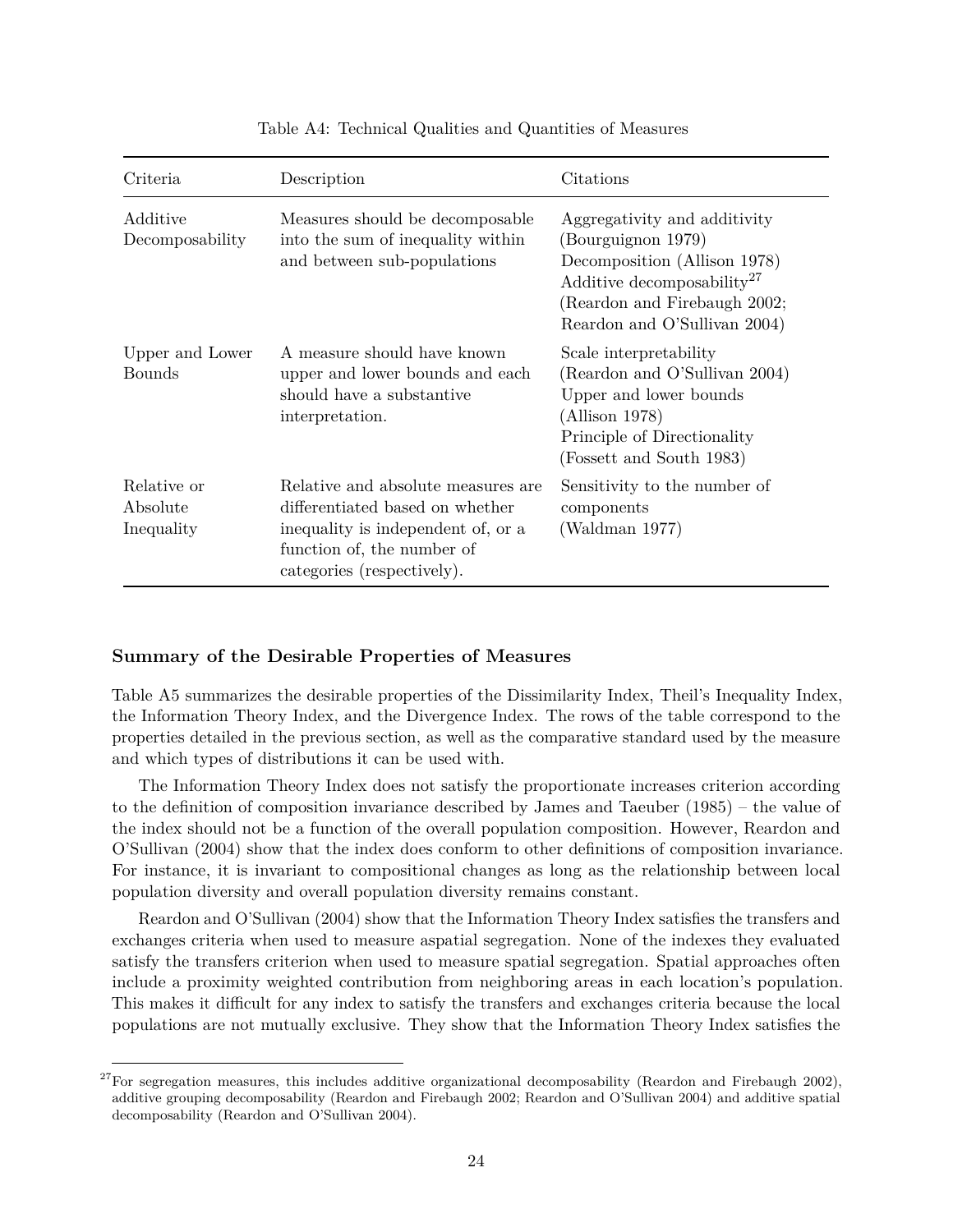| Criteria                              | Description                                                                                                                                                             | Citations                                                                                                                                                                                    |
|---------------------------------------|-------------------------------------------------------------------------------------------------------------------------------------------------------------------------|----------------------------------------------------------------------------------------------------------------------------------------------------------------------------------------------|
| Additive<br>Decomposability           | Measures should be decomposable.<br>into the sum of inequality within<br>and between sub-populations                                                                    | Aggregativity and additivity<br>(Bourguignon 1979)<br>Decomposition (Allison 1978)<br>Additive decomposability <sup>27</sup><br>(Reardon and Firebaugh 2002;<br>Reardon and O'Sullivan 2004) |
| Upper and Lower<br><b>Bounds</b>      | A measure should have known<br>upper and lower bounds and each<br>should have a substantive<br>interpretation.                                                          | Scale interpretability<br>(Reardon and O'Sullivan 2004)<br>Upper and lower bounds<br>(Allison 1978)<br>Principle of Directionality<br>(Fossett and South 1983)                               |
| Relative or<br>Absolute<br>Inequality | Relative and absolute measures are<br>differentiated based on whether<br>inequality is independent of, or a<br>function of, the number of<br>categories (respectively). | Sensitivity to the number of<br>components<br>(Waldman 1977)                                                                                                                                 |

Table A4: Technical Qualities and Quantities of Measures

### **Summary of the Desirable Properties of Measures**

Table [A5](#page-24-0) summarizes the desirable properties of the Dissimilarity Index, Theil's Inequality Index, the Information Theory Index, and the Divergence Index. The rows of the table correspond to the properties detailed in the previous section, as well as the comparative standard used by the measure and which types of distributions it can be used with.

The Information Theory Index does not satisfy the proportionate increases criterion according to the definition of composition invariance described by James and Taeuber (1985) – the value of the index should not be a function of the overall population composition. However, Reardon and O'Sullivan (2004) show that the index does conform to other definitions of composition invariance. For instance, it is invariant to compositional changes as long as the relationship between local population diversity and overall population diversity remains constant.

Reardon and O'Sullivan (2004) show that the Information Theory Index satisfies the transfers and exchanges criteria when used to measure aspatial segregation. None of the indexes they evaluated satisfy the transfers criterion when used to measure spatial segregation. Spatial approaches often include a proximity weighted contribution from neighboring areas in each location's population. This makes it difficult for any index to satisfy the transfers and exchanges criteria because the local populations are not mutually exclusive. They show that the Information Theory Index satisfies the

<span id="page-23-0"></span><sup>&</sup>lt;sup>27</sup>For segregation measures, this includes additive organizational decomposability (Reardon and Firebaugh 2002), additive grouping decomposability (Reardon and Firebaugh 2002; Reardon and O'Sullivan 2004) and additive spatial decomposability (Reardon and O'Sullivan 2004).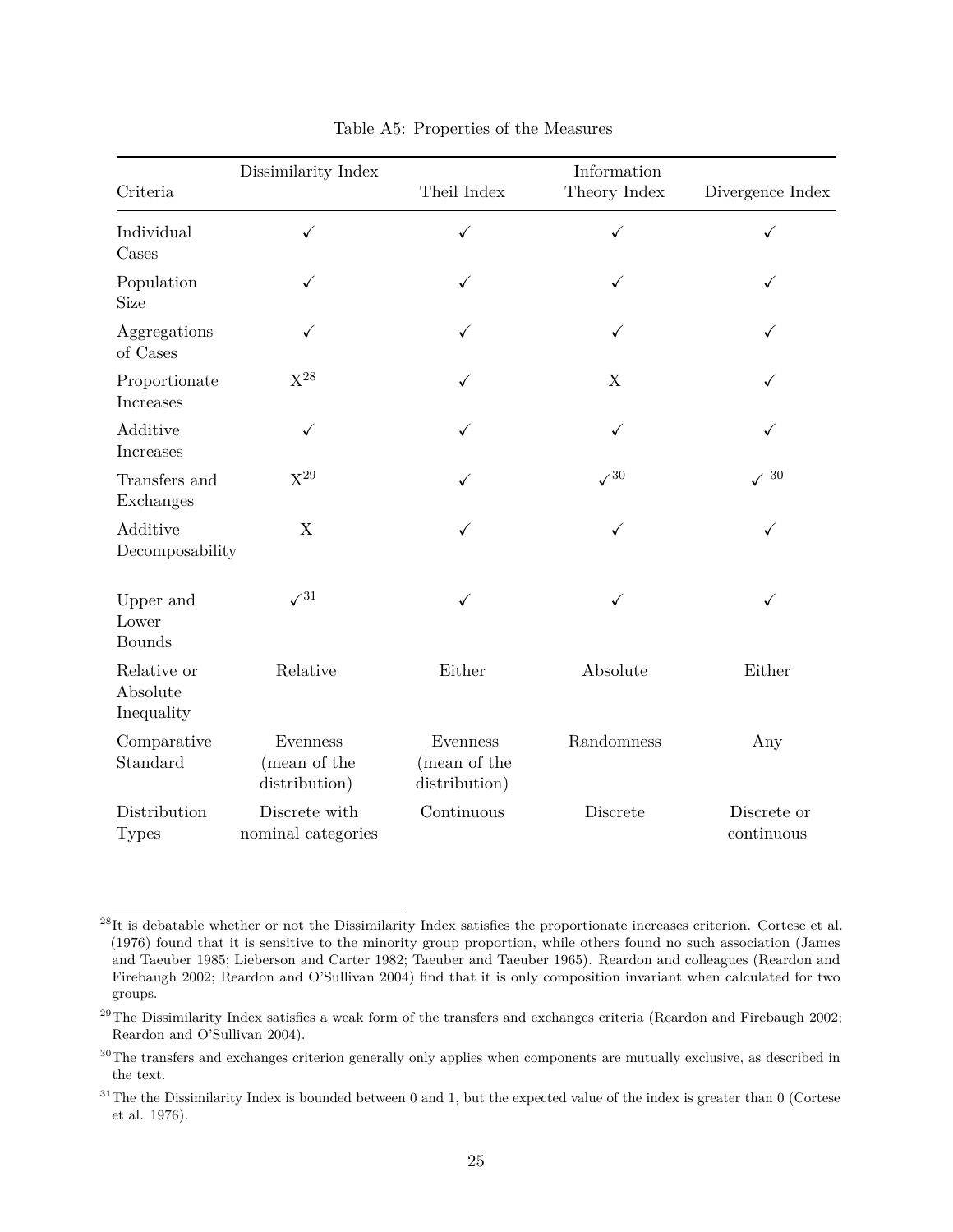<span id="page-24-0"></span>

|                                       | Dissimilarity Index                       |                                           | Information  |                           |
|---------------------------------------|-------------------------------------------|-------------------------------------------|--------------|---------------------------|
| Criteria                              |                                           | Theil Index                               | Theory Index | Divergence Index          |
| Individual<br>Cases                   | $\checkmark$                              | $\checkmark$                              | $\checkmark$ | ✓                         |
| Population<br>Size                    | ✓                                         | ✓                                         | ✓            |                           |
| Aggregations<br>of Cases              |                                           | $\checkmark$                              |              |                           |
| Proportionate<br>Increases            | $X^{28}$                                  | $\checkmark$                              | X            |                           |
| Additive<br>Increases                 | ✓                                         | ✓                                         | ✓            |                           |
| Transfers and<br>Exchanges            | $X^{29}$                                  | ✓                                         | $\sqrt{30}$  | $30\,$                    |
| Additive<br>Decomposability           | X                                         | ✓                                         | ✓            | ✓                         |
| Upper and<br>Lower<br><b>Bounds</b>   | $\sqrt{31}$                               | $\checkmark$                              | ✓            | ✓                         |
| Relative or<br>Absolute<br>Inequality | Relative                                  | Either                                    | Absolute     | Either                    |
| Comparative<br>Standard               | Evenness<br>(mean of the<br>distribution) | Evenness<br>(mean of the<br>distribution) | Randomness   | Any                       |
| Distribution<br><b>Types</b>          | Discrete with<br>nominal categories       | Continuous                                | Discrete     | Discrete or<br>continuous |

<span id="page-24-1"></span> $^{28}$ It is debatable whether or not the Dissimilarity Index satisfies the proportionate increases criterion. Cortese et al. (1976) found that it is sensitive to the minority group proportion, while others found no such association (James and Taeuber 1985; Lieberson and Carter 1982; Taeuber and Taeuber 1965). Reardon and colleagues (Reardon and Firebaugh 2002; Reardon and O'Sullivan 2004) find that it is only composition invariant when calculated for two groups.

<span id="page-24-2"></span> $^{29}$ The Dissimilarity Index satisfies a weak form of the transfers and exchanges criteria (Reardon and Firebaugh 2002; Reardon and O'Sullivan 2004).

<span id="page-24-3"></span><sup>&</sup>lt;sup>30</sup>The transfers and exchanges criterion generally only applies when components are mutually exclusive, as described in the text.

<span id="page-24-4"></span> $31$ The the Dissimilarity Index is bounded between 0 and 1, but the expected value of the index is greater than 0 (Cortese et al. 1976).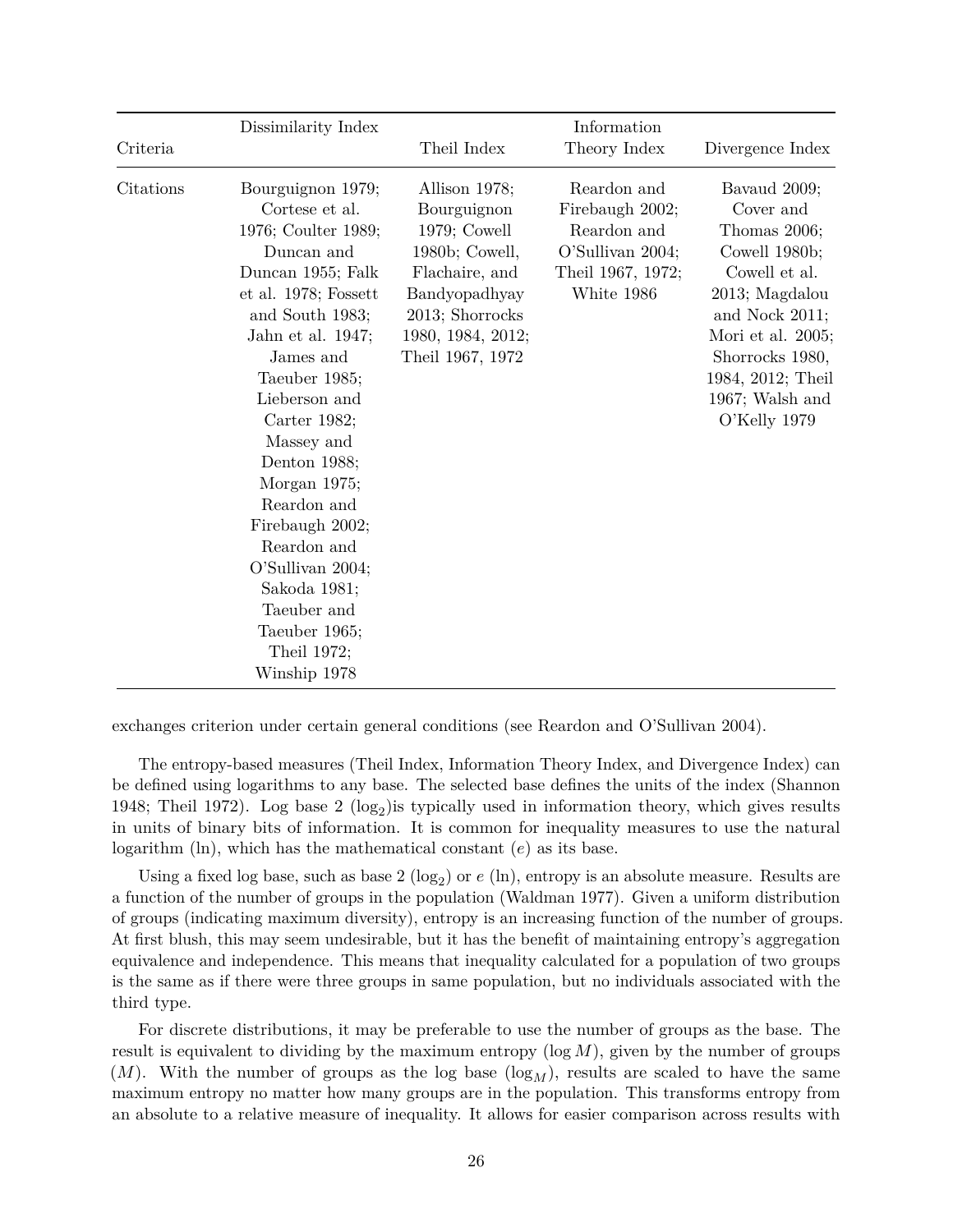|           | Dissimilarity Index                                                                                                                                                                                                                                                                                                                                                            |                                                                                                                                                                 | Information                                                                                          |                                                                                                                                                                                                                 |
|-----------|--------------------------------------------------------------------------------------------------------------------------------------------------------------------------------------------------------------------------------------------------------------------------------------------------------------------------------------------------------------------------------|-----------------------------------------------------------------------------------------------------------------------------------------------------------------|------------------------------------------------------------------------------------------------------|-----------------------------------------------------------------------------------------------------------------------------------------------------------------------------------------------------------------|
| Criteria  |                                                                                                                                                                                                                                                                                                                                                                                | Theil Index                                                                                                                                                     | Theory Index                                                                                         | Divergence Index                                                                                                                                                                                                |
| Citations | Bourguignon 1979;<br>Cortese et al.<br>1976; Coulter 1989;<br>Duncan and<br>Duncan 1955; Falk<br>et al. 1978; Fossett<br>and South 1983;<br>Jahn et al. 1947;<br>James and<br>Taeuber 1985;<br>Lieberson and<br>Carter 1982;<br>Massey and<br>Denton 1988;<br>Morgan 1975;<br>Reardon and<br>Firebaugh 2002;<br>Reardon and<br>O'Sullivan 2004;<br>Sakoda 1981;<br>Taeuber and | Allison 1978;<br>Bourguignon<br>$1979;$ Cowell<br>1980b; Cowell,<br>Flachaire, and<br>Bandyopadhyay<br>2013; Shorrocks<br>1980, 1984, 2012;<br>Theil 1967, 1972 | Reardon and<br>Firebaugh 2002;<br>Reardon and<br>O'Sullivan 2004;<br>Theil 1967, 1972;<br>White 1986 | Bavaud 2009;<br>Cover and<br>Thomas 2006;<br>Cowell 1980b;<br>Cowell et al.<br>2013; Magdalou<br>and Nock 2011;<br>Mori et al. 2005;<br>Shorrocks 1980,<br>1984, 2012; Theil<br>1967; Walsh and<br>O'Kelly 1979 |
|           | Taeuber 1965;<br>Theil 1972;<br>Winship 1978                                                                                                                                                                                                                                                                                                                                   |                                                                                                                                                                 |                                                                                                      |                                                                                                                                                                                                                 |

exchanges criterion under certain general conditions (see Reardon and O'Sullivan 2004).

The entropy-based measures (Theil Index, Information Theory Index, and Divergence Index) can be defined using logarithms to any base. The selected base defines the units of the index (Shannon 1948; Theil 1972). Log base  $2 \text{ (log}_2)$  is typically used in information theory, which gives results in units of binary bits of information. It is common for inequality measures to use the natural logarithm (ln), which has the mathematical constant (*e*) as its base.

Using a fixed log base, such as base 2 (log<sub>2</sub>) or  $e$  (ln), entropy is an absolute measure. Results are a function of the number of groups in the population (Waldman 1977). Given a uniform distribution of groups (indicating maximum diversity), entropy is an increasing function of the number of groups. At first blush, this may seem undesirable, but it has the benefit of maintaining entropy's aggregation equivalence and independence. This means that inequality calculated for a population of two groups is the same as if there were three groups in same population, but no individuals associated with the third type.

For discrete distributions, it may be preferable to use the number of groups as the base. The result is equivalent to dividing by the maximum entropy (log *M*), given by the number of groups  $(M)$ . With the number of groups as the log base  $(\log_M)$ , results are scaled to have the same maximum entropy no matter how many groups are in the population. This transforms entropy from an absolute to a relative measure of inequality. It allows for easier comparison across results with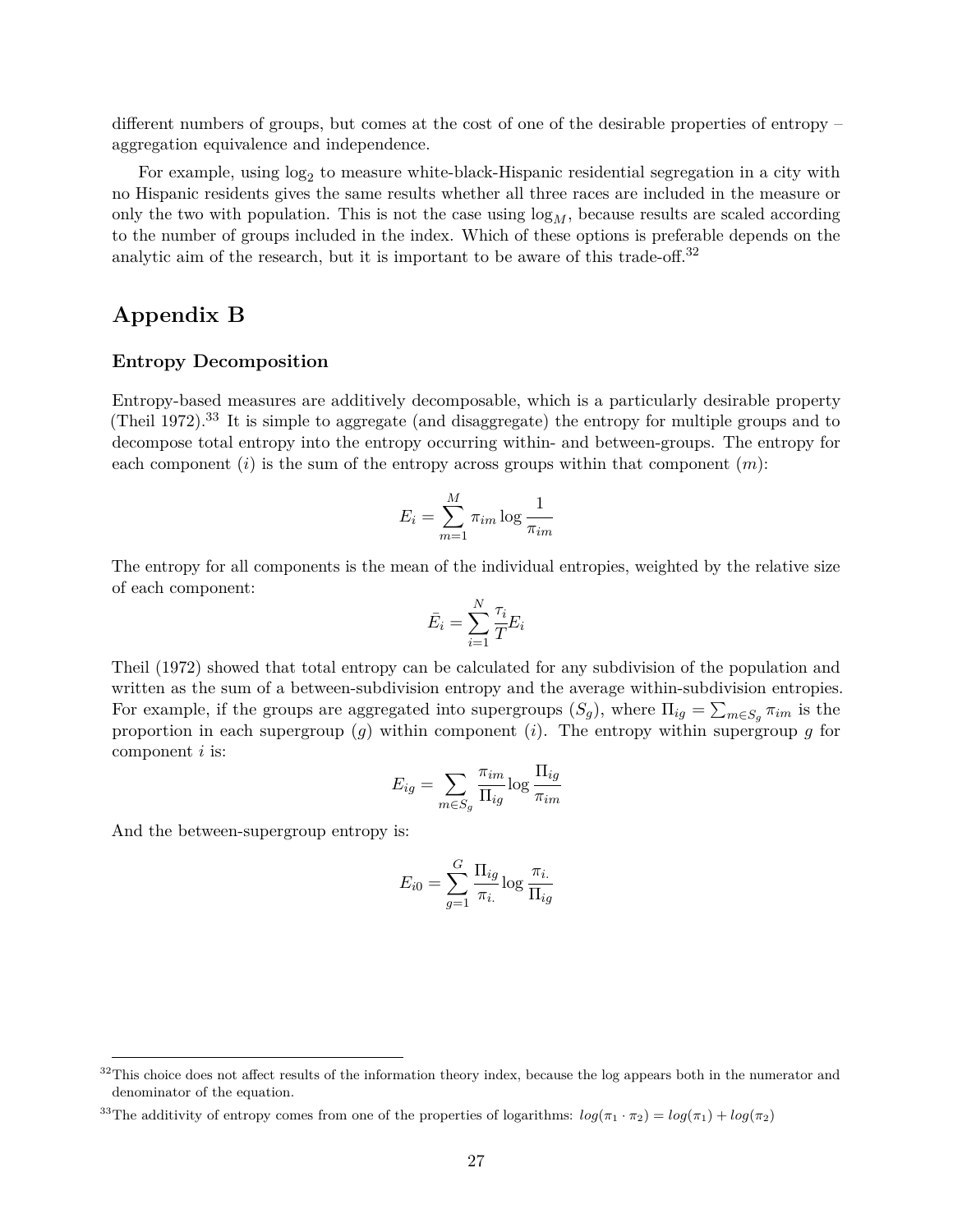different numbers of groups, but comes at the cost of one of the desirable properties of entropy – aggregation equivalence and independence.

For example, using  $log_2$  to measure white-black-Hispanic residential segregation in a city with no Hispanic residents gives the same results whether all three races are included in the measure or only the two with population. This is not the case using  $\log_M$ , because results are scaled according to the number of groups included in the index. Which of these options is preferable depends on the analytic aim of the research, but it is important to be aware of this trade-off.<sup>[32](#page-26-0)</sup>

## **Appendix B**

### **Entropy Decomposition**

Entropy-based measures are additively decomposable, which is a particularly desirable property (Theil 1972).<sup>[33](#page-26-1)</sup> It is simple to aggregate (and disaggregate) the entropy for multiple groups and to decompose total entropy into the entropy occurring within- and between-groups. The entropy for each component (*i*) is the sum of the entropy across groups within that component (*m*):

$$
E_i = \sum_{m=1}^{M} \pi_{im} \log \frac{1}{\pi_{im}}
$$

The entropy for all components is the mean of the individual entropies, weighted by the relative size of each component:

$$
\bar{E}_i = \sum_{i=1}^N \frac{\tau_i}{T} E_i
$$

Theil (1972) showed that total entropy can be calculated for any subdivision of the population and written as the sum of a between-subdivision entropy and the average within-subdivision entropies. For example, if the groups are aggregated into supergroups  $(S_g)$ , where  $\Pi_{ig} = \sum_{m \in S_g} \pi_{im}$  is the proportion in each supergroup  $\overline{g}$  within component  $(i)$ . The entropy within supergroup *g* for component *i* is:

$$
E_{ig} = \sum_{m \in S_g} \frac{\pi_{im}}{\Pi_{ig}} \log \frac{\Pi_{ig}}{\pi_{im}}
$$

And the between-supergroup entropy is:

$$
E_{i0} = \sum_{g=1}^{G} \frac{\Pi_{ig}}{\pi_{i.}} \log \frac{\pi_{i.}}{\Pi_{ig}}
$$

<span id="page-26-0"></span><sup>&</sup>lt;sup>32</sup>This choice does not affect results of the information theory index, because the log appears both in the numerator and denominator of the equation.

<span id="page-26-1"></span><sup>&</sup>lt;sup>33</sup>The additivity of entropy comes from one of the properties of logarithms:  $log(\pi_1 \cdot \pi_2) = log(\pi_1) + log(\pi_2)$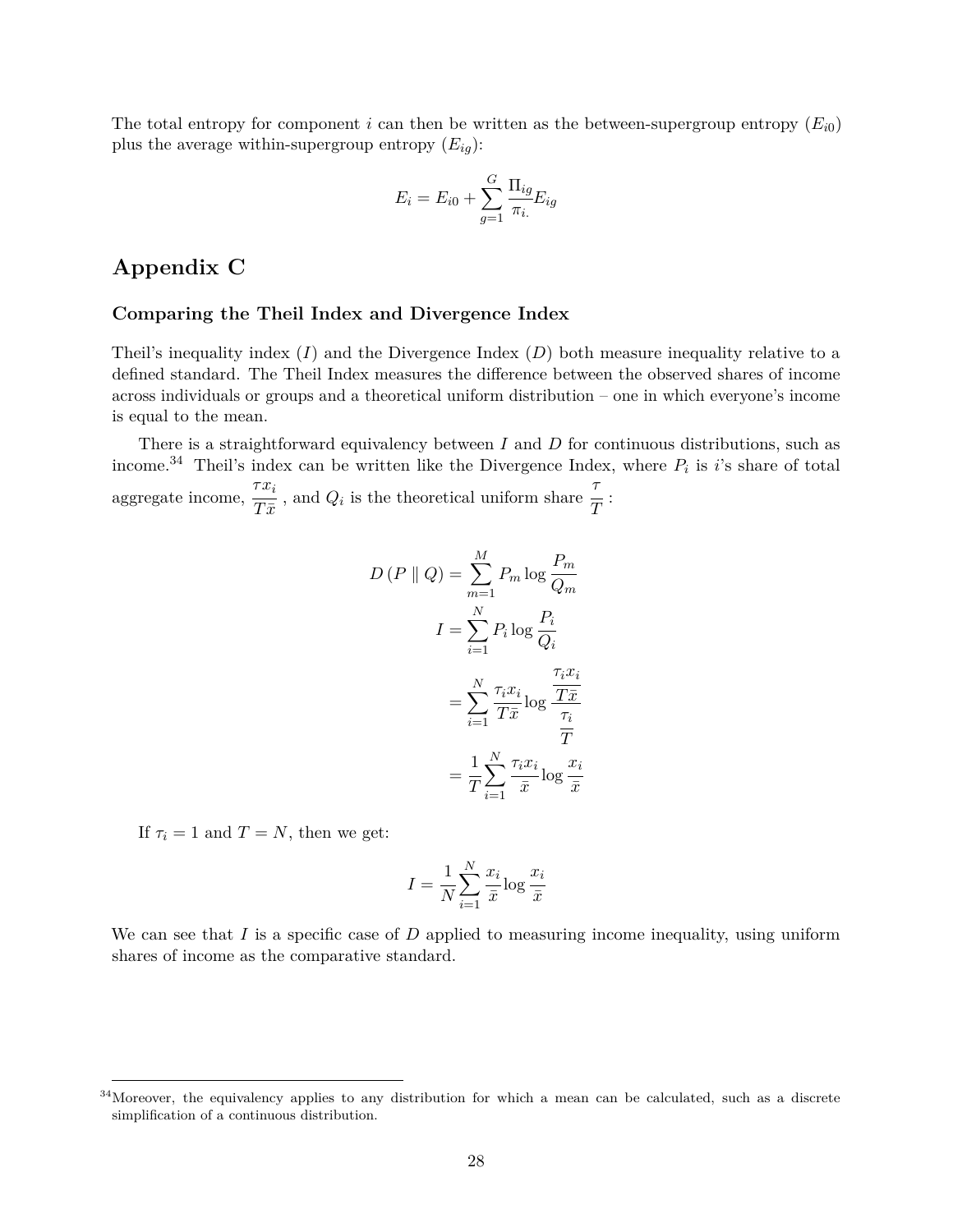The total entropy for component *i* can then be written as the between-supergroup entropy  $(E_{i0})$ plus the average within-supergroup entropy  $(E_{iq})$ :

$$
E_i = E_{i0} + \sum_{g=1}^{G} \frac{\Pi_{ig}}{\pi_i} E_{ig}
$$

## **Appendix C**

#### **Comparing the Theil Index and Divergence Index**

Theil's inequality index  $(I)$  and the Divergence Index  $(D)$  both measure inequality relative to a defined standard. The Theil Index measures the difference between the observed shares of income across individuals or groups and a theoretical uniform distribution – one in which everyone's income is equal to the mean.

There is a straightforward equivalency between *I* and *D* for continuous distributions, such as income.<sup>[34](#page-27-0)</sup> Theil's index can be written like the Divergence Index, where  $P_i$  is *i*'s share of total aggregate income, *τx<sup>i</sup>*  $\frac{d}{dx}$ , and  $Q_i$  is the theoretical uniform share *τ*  $\frac{\cdot}{T}$  :

$$
D(P \parallel Q) = \sum_{m=1}^{M} P_m \log \frac{P_m}{Q_m}
$$

$$
I = \sum_{i=1}^{N} P_i \log \frac{P_i}{Q_i}
$$

$$
= \sum_{i=1}^{N} \frac{\tau_i x_i}{T \bar{x}} \log \frac{\frac{\tau_i x_i}{T \bar{x}}}{\frac{\tau_i}{T}}
$$

$$
= \frac{1}{T} \sum_{i=1}^{N} \frac{\tau_i x_i}{\bar{x}} \log \frac{x_i}{\bar{x}}
$$

If  $\tau_i = 1$  and  $T = N$ , then we get:

$$
I = \frac{1}{N} \sum_{i=1}^{N} \frac{x_i}{\bar{x}} \log \frac{x_i}{\bar{x}}
$$

We can see that *I* is a specific case of *D* applied to measuring income inequality, using uniform shares of income as the comparative standard.

<span id="page-27-0"></span><sup>&</sup>lt;sup>34</sup>Moreover, the equivalency applies to any distribution for which a mean can be calculated, such as a discrete simplification of a continuous distribution.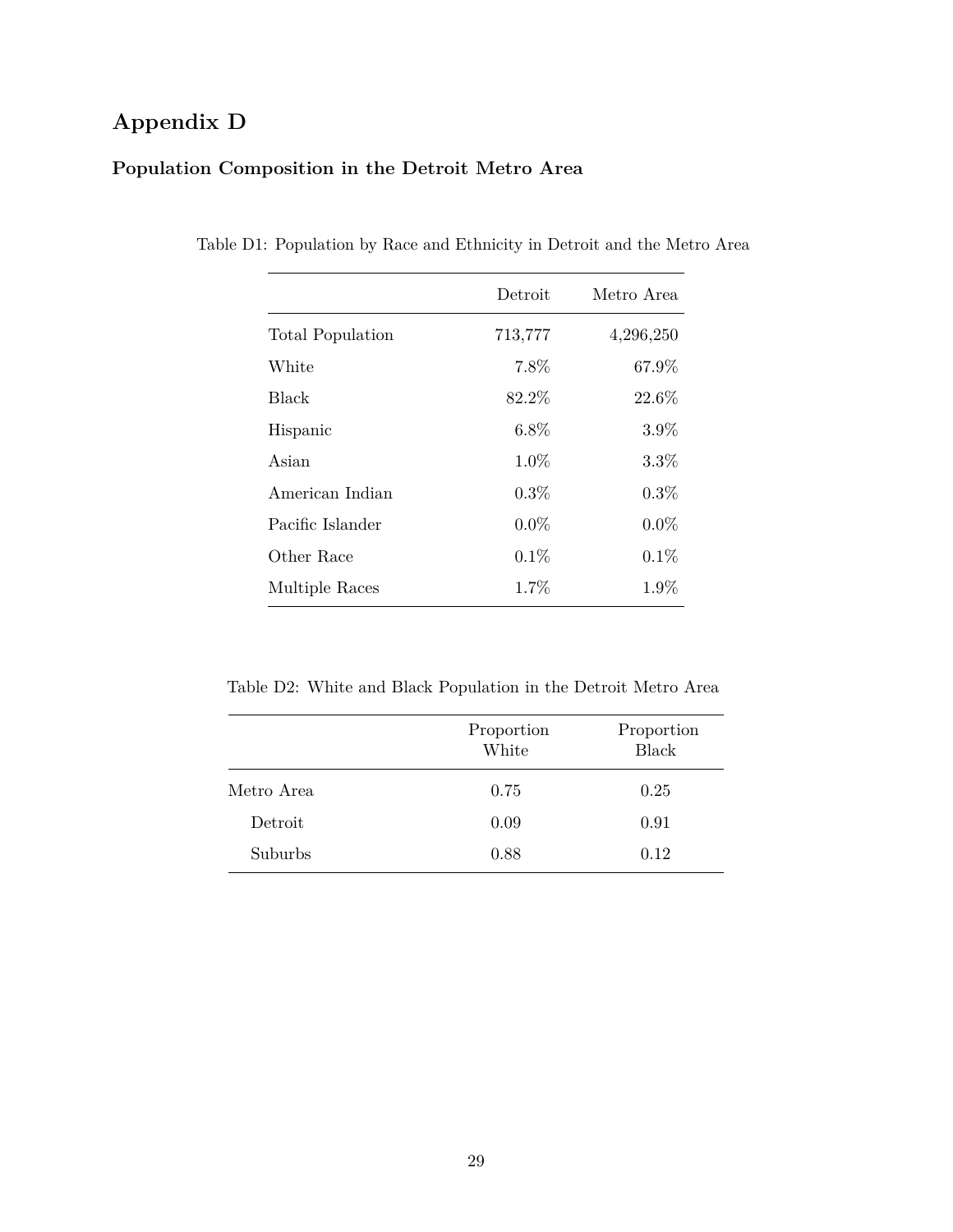# **Appendix D**

## **Population Composition in the Detroit Metro Area**

|                         | Detroit | Metro Area |
|-------------------------|---------|------------|
| <b>Total Population</b> | 713,777 | 4,296,250  |
| White                   | 7.8%    | 67.9%      |
| Black                   | 82.2%   | 22.6%      |
| Hispanic                | $6.8\%$ | 3.9%       |
| Asian                   | $1.0\%$ | $3.3\%$    |
| American Indian         | $0.3\%$ | $0.3\%$    |
| Pacific Islander        | $0.0\%$ | $0.0\%$    |
| Other Race              | 0.1%    | 0.1%       |
| Multiple Races          | 1.7%    | 1.9%       |

Table D1: Population by Race and Ethnicity in Detroit and the Metro Area

Table D2: White and Black Population in the Detroit Metro Area

|            | Proportion<br>White | Proportion<br><b>Black</b> |
|------------|---------------------|----------------------------|
| Metro Area | 0.75                | 0.25                       |
| Detroit    | 0.09                | 0.91                       |
| Suburbs    | 0.88                | 0.12                       |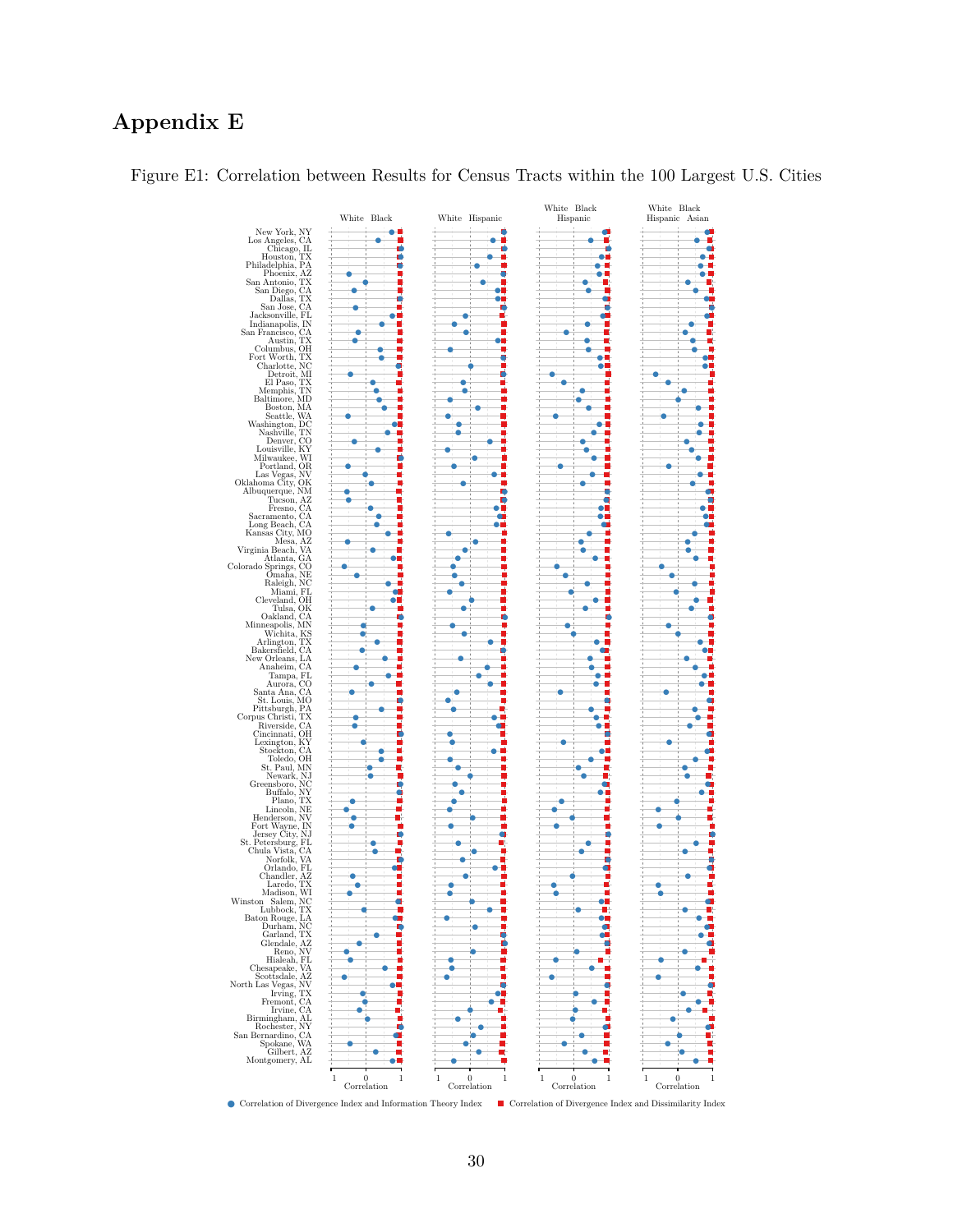## **Appendix E**



<span id="page-29-0"></span>Figure E1: Correlation between Results for Census Tracts within the 100 Largest U.S. Cities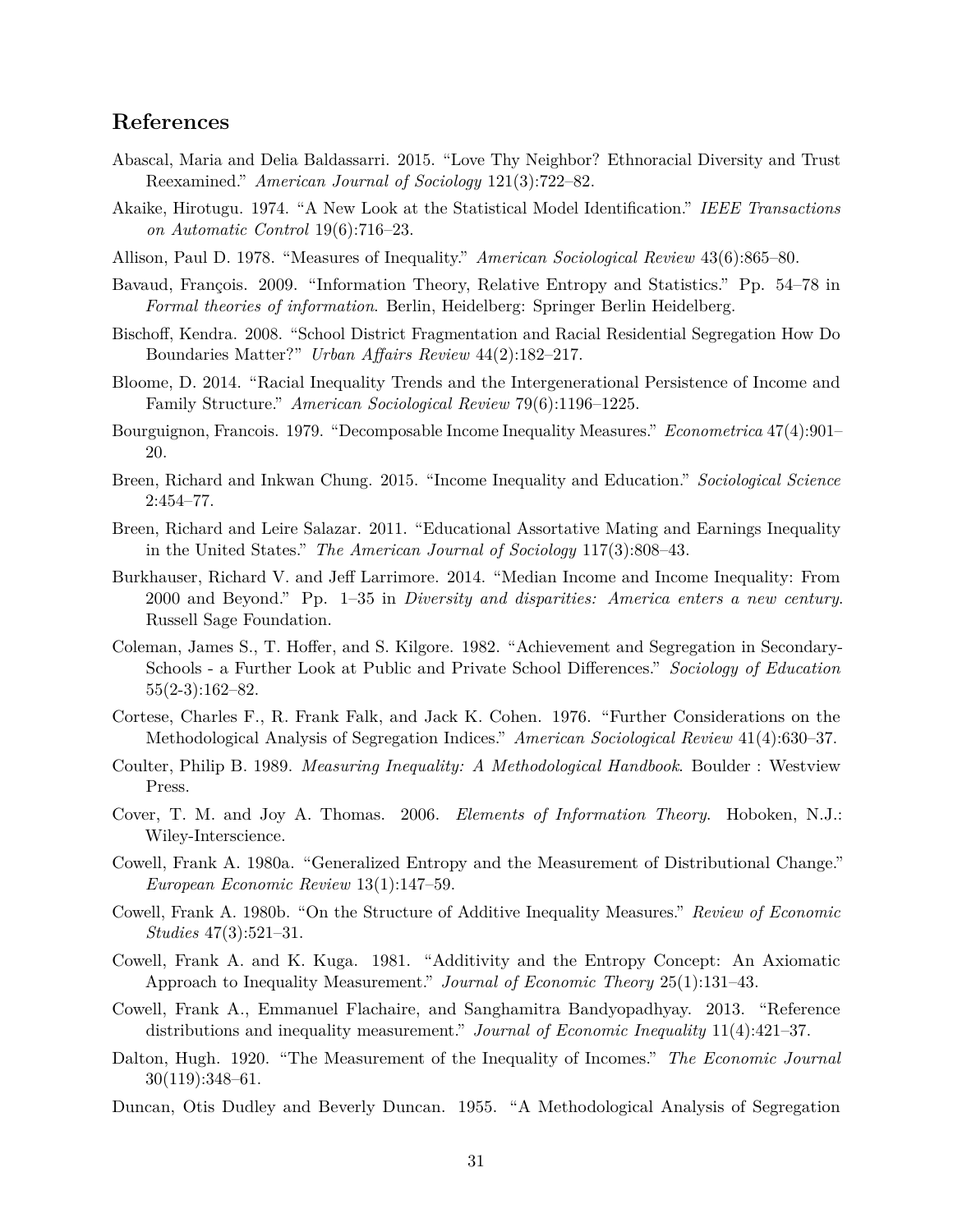## **References**

- Abascal, Maria and Delia Baldassarri. 2015. "Love Thy Neighbor? Ethnoracial Diversity and Trust Reexamined." *American Journal of Sociology* 121(3):722–82.
- Akaike, Hirotugu. 1974. "A New Look at the Statistical Model Identification." *IEEE Transactions on Automatic Control* 19(6):716–23.
- Allison, Paul D. 1978. "Measures of Inequality." *American Sociological Review* 43(6):865–80.
- Bavaud, François. 2009. "Information Theory, Relative Entropy and Statistics." Pp. 54–78 in *Formal theories of information*. Berlin, Heidelberg: Springer Berlin Heidelberg.
- Bischoff, Kendra. 2008. "School District Fragmentation and Racial Residential Segregation How Do Boundaries Matter?" *Urban Affairs Review* 44(2):182–217.
- Bloome, D. 2014. "Racial Inequality Trends and the Intergenerational Persistence of Income and Family Structure." *American Sociological Review* 79(6):1196–1225.
- Bourguignon, Francois. 1979. "Decomposable Income Inequality Measures." *Econometrica* 47(4):901– 20.
- Breen, Richard and Inkwan Chung. 2015. "Income Inequality and Education." *Sociological Science* 2:454–77.
- Breen, Richard and Leire Salazar. 2011. "Educational Assortative Mating and Earnings Inequality in the United States." *The American Journal of Sociology* 117(3):808–43.
- Burkhauser, Richard V. and Jeff Larrimore. 2014. "Median Income and Income Inequality: From 2000 and Beyond." Pp. 1–35 in *Diversity and disparities: America enters a new century*. Russell Sage Foundation.
- Coleman, James S., T. Hoffer, and S. Kilgore. 1982. "Achievement and Segregation in Secondary-Schools - a Further Look at Public and Private School Differences." *Sociology of Education* 55(2-3):162–82.
- Cortese, Charles F., R. Frank Falk, and Jack K. Cohen. 1976. "Further Considerations on the Methodological Analysis of Segregation Indices." *American Sociological Review* 41(4):630–37.
- Coulter, Philip B. 1989. *Measuring Inequality: A Methodological Handbook*. Boulder : Westview Press.
- Cover, T. M. and Joy A. Thomas. 2006. *Elements of Information Theory*. Hoboken, N.J.: Wiley-Interscience.
- Cowell, Frank A. 1980a. "Generalized Entropy and the Measurement of Distributional Change." *European Economic Review* 13(1):147–59.
- Cowell, Frank A. 1980b. "On the Structure of Additive Inequality Measures." *Review of Economic Studies* 47(3):521–31.
- Cowell, Frank A. and K. Kuga. 1981. "Additivity and the Entropy Concept: An Axiomatic Approach to Inequality Measurement." *Journal of Economic Theory* 25(1):131–43.
- Cowell, Frank A., Emmanuel Flachaire, and Sanghamitra Bandyopadhyay. 2013. "Reference distributions and inequality measurement." *Journal of Economic Inequality* 11(4):421–37.
- Dalton, Hugh. 1920. "The Measurement of the Inequality of Incomes." *The Economic Journal* 30(119):348–61.
- Duncan, Otis Dudley and Beverly Duncan. 1955. "A Methodological Analysis of Segregation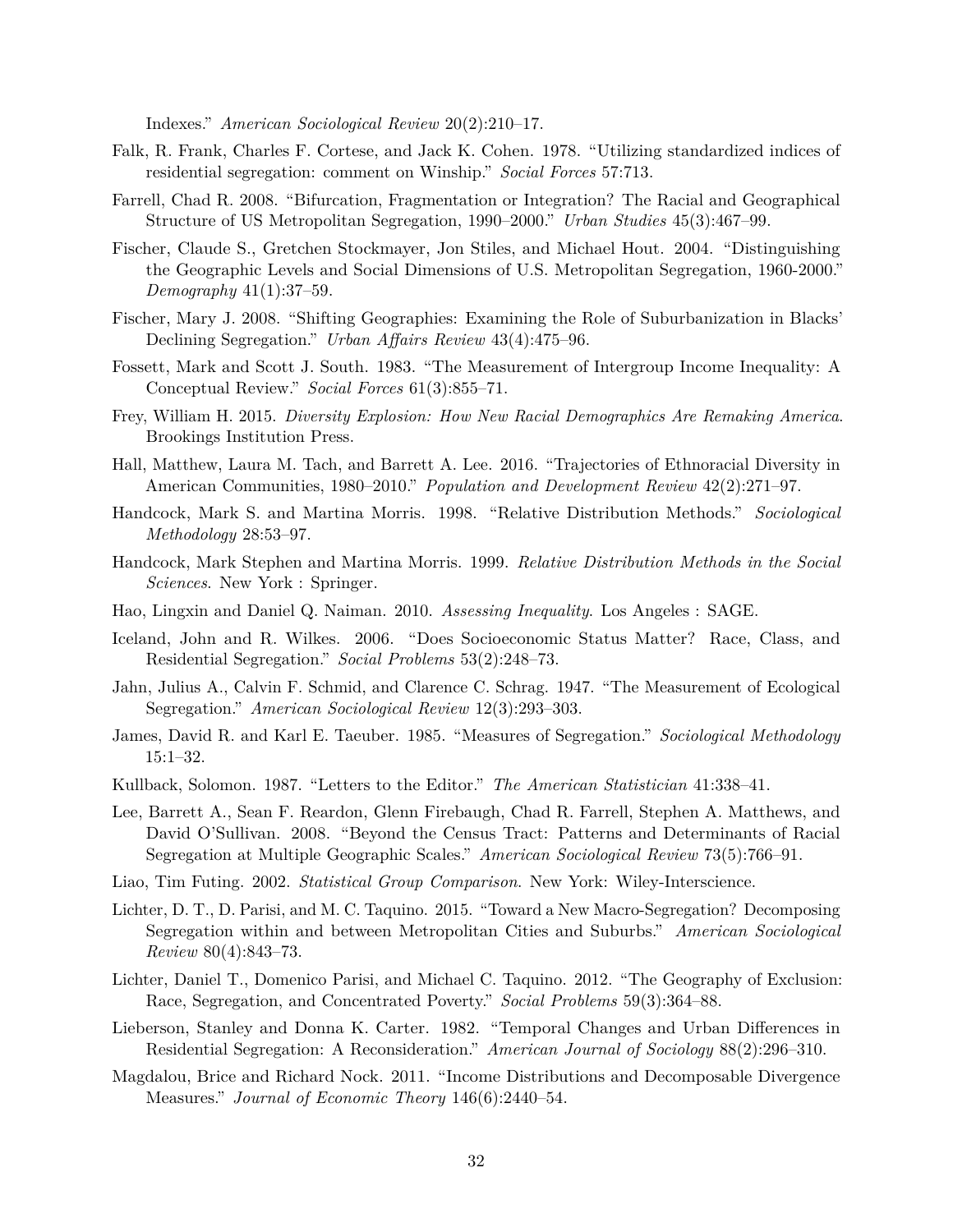Indexes." *American Sociological Review* 20(2):210–17.

- Falk, R. Frank, Charles F. Cortese, and Jack K. Cohen. 1978. "Utilizing standardized indices of residential segregation: comment on Winship." *Social Forces* 57:713.
- Farrell, Chad R. 2008. "Bifurcation, Fragmentation or Integration? The Racial and Geographical Structure of US Metropolitan Segregation, 1990–2000." *Urban Studies* 45(3):467–99.
- Fischer, Claude S., Gretchen Stockmayer, Jon Stiles, and Michael Hout. 2004. "Distinguishing the Geographic Levels and Social Dimensions of U.S. Metropolitan Segregation, 1960-2000." *Demography* 41(1):37–59.
- Fischer, Mary J. 2008. "Shifting Geographies: Examining the Role of Suburbanization in Blacks' Declining Segregation." *Urban Affairs Review* 43(4):475–96.
- Fossett, Mark and Scott J. South. 1983. "The Measurement of Intergroup Income Inequality: A Conceptual Review." *Social Forces* 61(3):855–71.
- Frey, William H. 2015. *Diversity Explosion: How New Racial Demographics Are Remaking America*. Brookings Institution Press.
- Hall, Matthew, Laura M. Tach, and Barrett A. Lee. 2016. "Trajectories of Ethnoracial Diversity in American Communities, 1980–2010." *Population and Development Review* 42(2):271–97.
- Handcock, Mark S. and Martina Morris. 1998. "Relative Distribution Methods." *Sociological Methodology* 28:53–97.
- Handcock, Mark Stephen and Martina Morris. 1999. *Relative Distribution Methods in the Social Sciences*. New York : Springer.
- Hao, Lingxin and Daniel Q. Naiman. 2010. *Assessing Inequality*. Los Angeles : SAGE.
- Iceland, John and R. Wilkes. 2006. "Does Socioeconomic Status Matter? Race, Class, and Residential Segregation." *Social Problems* 53(2):248–73.
- Jahn, Julius A., Calvin F. Schmid, and Clarence C. Schrag. 1947. "The Measurement of Ecological Segregation." *American Sociological Review* 12(3):293–303.
- James, David R. and Karl E. Taeuber. 1985. "Measures of Segregation." *Sociological Methodology* 15:1–32.
- Kullback, Solomon. 1987. "Letters to the Editor." *The American Statistician* 41:338–41.
- Lee, Barrett A., Sean F. Reardon, Glenn Firebaugh, Chad R. Farrell, Stephen A. Matthews, and David O'Sullivan. 2008. "Beyond the Census Tract: Patterns and Determinants of Racial Segregation at Multiple Geographic Scales." *American Sociological Review* 73(5):766–91.
- Liao, Tim Futing. 2002. *Statistical Group Comparison*. New York: Wiley-Interscience.
- Lichter, D. T., D. Parisi, and M. C. Taquino. 2015. "Toward a New Macro-Segregation? Decomposing Segregation within and between Metropolitan Cities and Suburbs." *American Sociological Review* 80(4):843–73.
- Lichter, Daniel T., Domenico Parisi, and Michael C. Taquino. 2012. "The Geography of Exclusion: Race, Segregation, and Concentrated Poverty." *Social Problems* 59(3):364–88.
- Lieberson, Stanley and Donna K. Carter. 1982. "Temporal Changes and Urban Differences in Residential Segregation: A Reconsideration." *American Journal of Sociology* 88(2):296–310.
- Magdalou, Brice and Richard Nock. 2011. "Income Distributions and Decomposable Divergence Measures." *Journal of Economic Theory* 146(6):2440–54.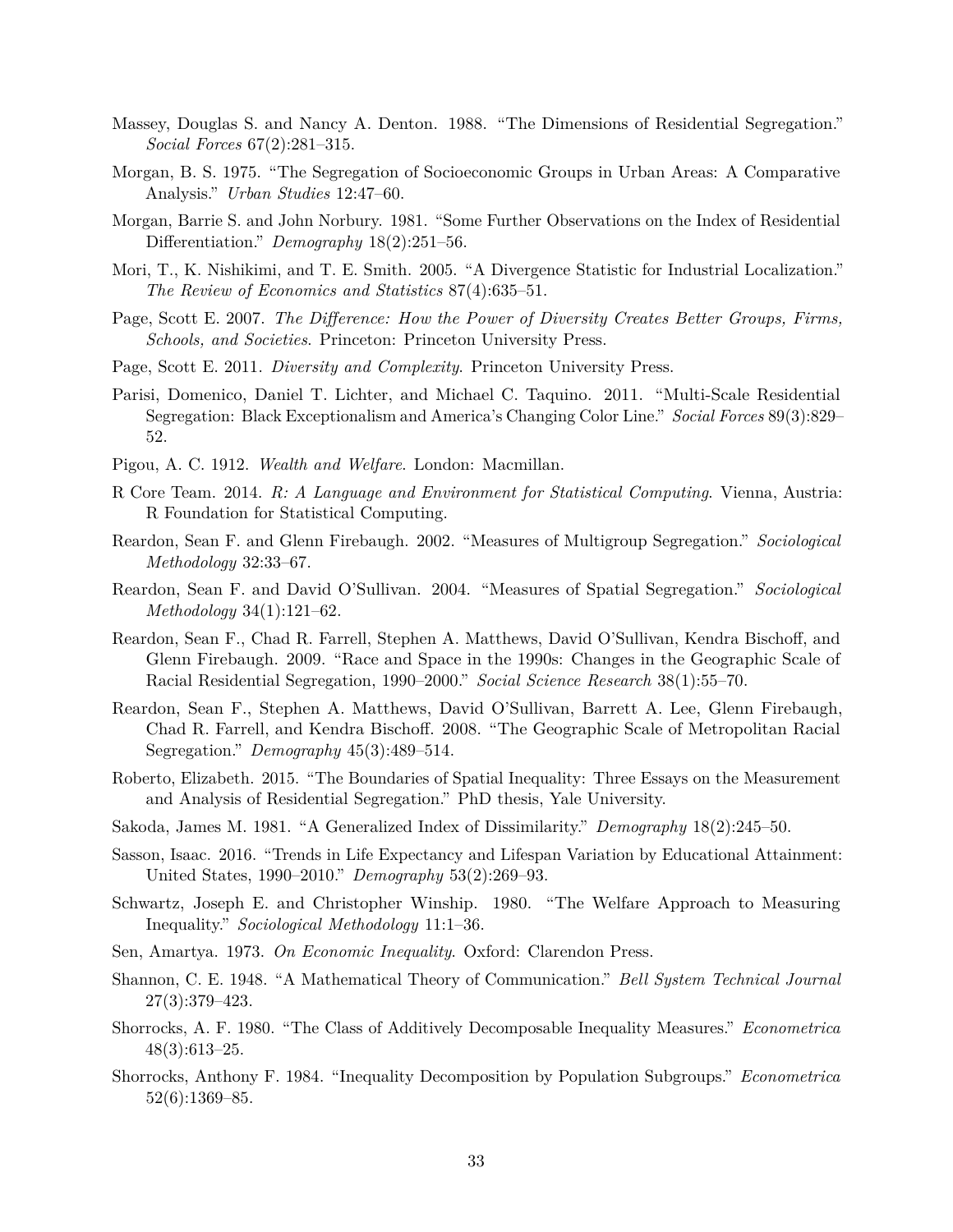- Massey, Douglas S. and Nancy A. Denton. 1988. "The Dimensions of Residential Segregation." *Social Forces* 67(2):281–315.
- Morgan, B. S. 1975. "The Segregation of Socioeconomic Groups in Urban Areas: A Comparative Analysis." *Urban Studies* 12:47–60.
- Morgan, Barrie S. and John Norbury. 1981. "Some Further Observations on the Index of Residential Differentiation." *Demography* 18(2):251–56.
- Mori, T., K. Nishikimi, and T. E. Smith. 2005. "A Divergence Statistic for Industrial Localization." *The Review of Economics and Statistics* 87(4):635–51.
- Page, Scott E. 2007. *The Difference: How the Power of Diversity Creates Better Groups, Firms, Schools, and Societies*. Princeton: Princeton University Press.
- Page, Scott E. 2011. *Diversity and Complexity*. Princeton University Press.
- Parisi, Domenico, Daniel T. Lichter, and Michael C. Taquino. 2011. "Multi-Scale Residential Segregation: Black Exceptionalism and America's Changing Color Line." *Social Forces* 89(3):829– 52.
- Pigou, A. C. 1912. *Wealth and Welfare*. London: Macmillan.
- R Core Team. 2014. *R: A Language and Environment for Statistical Computing*. Vienna, Austria: R Foundation for Statistical Computing.
- Reardon, Sean F. and Glenn Firebaugh. 2002. "Measures of Multigroup Segregation." *Sociological Methodology* 32:33–67.
- Reardon, Sean F. and David O'Sullivan. 2004. "Measures of Spatial Segregation." *Sociological Methodology* 34(1):121–62.
- Reardon, Sean F., Chad R. Farrell, Stephen A. Matthews, David O'Sullivan, Kendra Bischoff, and Glenn Firebaugh. 2009. "Race and Space in the 1990s: Changes in the Geographic Scale of Racial Residential Segregation, 1990–2000." *Social Science Research* 38(1):55–70.
- Reardon, Sean F., Stephen A. Matthews, David O'Sullivan, Barrett A. Lee, Glenn Firebaugh, Chad R. Farrell, and Kendra Bischoff. 2008. "The Geographic Scale of Metropolitan Racial Segregation." *Demography* 45(3):489–514.
- Roberto, Elizabeth. 2015. "The Boundaries of Spatial Inequality: Three Essays on the Measurement and Analysis of Residential Segregation." PhD thesis, Yale University.
- Sakoda, James M. 1981. "A Generalized Index of Dissimilarity." *Demography* 18(2):245–50.
- Sasson, Isaac. 2016. "Trends in Life Expectancy and Lifespan Variation by Educational Attainment: United States, 1990–2010." *Demography* 53(2):269–93.
- Schwartz, Joseph E. and Christopher Winship. 1980. "The Welfare Approach to Measuring Inequality." *Sociological Methodology* 11:1–36.
- Sen, Amartya. 1973. *On Economic Inequality*. Oxford: Clarendon Press.
- Shannon, C. E. 1948. "A Mathematical Theory of Communication." *Bell System Technical Journal* 27(3):379–423.
- Shorrocks, A. F. 1980. "The Class of Additively Decomposable Inequality Measures." *Econometrica* 48(3):613–25.
- Shorrocks, Anthony F. 1984. "Inequality Decomposition by Population Subgroups." *Econometrica* 52(6):1369–85.